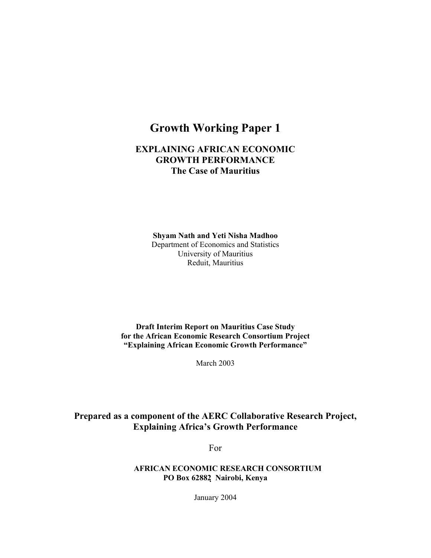# **Growth Working Paper 1**

## **EXPLAINING AFRICAN ECONOMIC GROWTH PERFORMANCE The Case of Mauritius**

**Shyam Nath and Yeti Nisha Madhoo** Department of Economics and Statistics University of Mauritius Reduit, Mauritius

**Draft Interim Report on Mauritius Case Study for the African Economic Research Consortium Project "Explaining African Economic Growth Performance"** 

March 2003

## **Prepared as a component of the AERC Collaborative Research Project, Explaining Africa's Growth Performance**

For

**AFRICAN ECONOMIC RESEARCH CONSORTIUM PO Box 62882 Nairobi, Kenya**

January 2004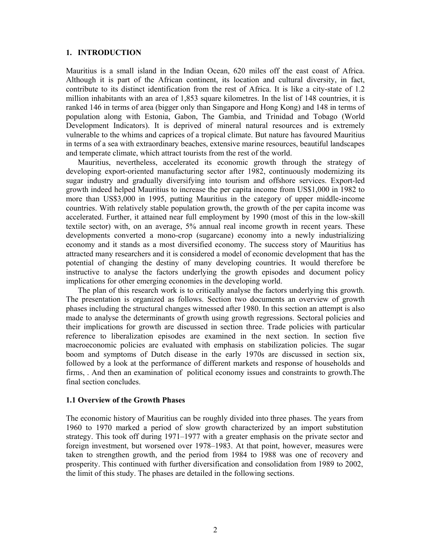## **1. INTRODUCTION**

Mauritius is a small island in the Indian Ocean, 620 miles off the east coast of Africa. Although it is part of the African continent, its location and cultural diversity, in fact, contribute to its distinct identification from the rest of Africa. It is like a city-state of 1.2 million inhabitants with an area of 1,853 square kilometres. In the list of 148 countries, it is ranked 146 in terms of area (bigger only than Singapore and Hong Kong) and 148 in terms of population along with Estonia, Gabon, The Gambia, and Trinidad and Tobago (World Development Indicators). It is deprived of mineral natural resources and is extremely vulnerable to the whims and caprices of a tropical climate. But nature has favoured Mauritius in terms of a sea with extraordinary beaches, extensive marine resources, beautiful landscapes and temperate climate, which attract tourists from the rest of the world.

 Mauritius, nevertheless, accelerated its economic growth through the strategy of developing export-oriented manufacturing sector after 1982, continuously modernizing its sugar industry and gradually diversifying into tourism and offshore services. Export-led growth indeed helped Mauritius to increase the per capita income from US\$1,000 in 1982 to more than US\$3,000 in 1995, putting Mauritius in the category of upper middle-income countries. With relatively stable population growth, the growth of the per capita income was accelerated. Further, it attained near full employment by 1990 (most of this in the low-skill textile sector) with, on an average, 5% annual real income growth in recent years. These developments converted a mono-crop (sugarcane) economy into a newly industrializing economy and it stands as a most diversified economy. The success story of Mauritius has attracted many researchers and it is considered a model of economic development that has the potential of changing the destiny of many developing countries. It would therefore be instructive to analyse the factors underlying the growth episodes and document policy implications for other emerging economies in the developing world.

 The plan of this research work is to critically analyse the factors underlying this growth. The presentation is organized as follows. Section two documents an overview of growth phases including the structural changes witnessed after 1980. In this section an attempt is also made to analyse the determinants of growth using growth regressions. Sectoral policies and their implications for growth are discussed in section three. Trade policies with particular reference to liberalization episodes are examined in the next section. In section five macroeconomic policies are evaluated with emphasis on stabilization policies. The sugar boom and symptoms of Dutch disease in the early 1970s are discussed in section six, followed by a look at the performance of different markets and response of households and firms, . And then an examination of political economy issues and constraints to growth.The final section concludes.

## **1.1 Overview of the Growth Phases**

The economic history of Mauritius can be roughly divided into three phases. The years from 1960 to 1970 marked a period of slow growth characterized by an import substitution strategy. This took off during 1971–1977 with a greater emphasis on the private sector and foreign investment, but worsened over 1978–1983. At that point, however, measures were taken to strengthen growth, and the period from 1984 to 1988 was one of recovery and prosperity. This continued with further diversification and consolidation from 1989 to 2002, the limit of this study. The phases are detailed in the following sections.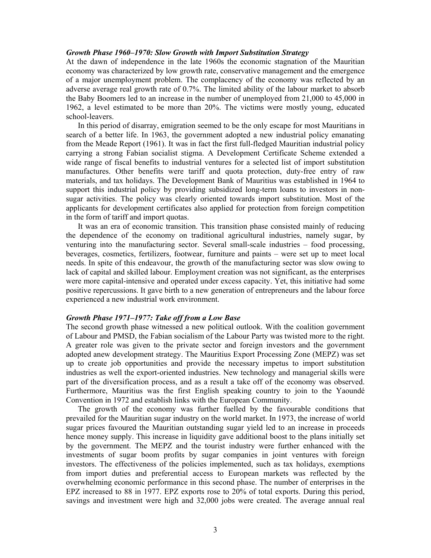#### *Growth Phase 1960–1970: Slow Growth with Import Substitution Strategy*

At the dawn of independence in the late 1960s the economic stagnation of the Mauritian economy was characterized by low growth rate, conservative management and the emergence of a major unemployment problem. The complacency of the economy was reflected by an adverse average real growth rate of 0.7%. The limited ability of the labour market to absorb the Baby Boomers led to an increase in the number of unemployed from 21,000 to 45,000 in 1962, a level estimated to be more than 20%. The victims were mostly young, educated school-leavers.

 In this period of disarray, emigration seemed to be the only escape for most Mauritians in search of a better life. In 1963, the government adopted a new industrial policy emanating from the Meade Report (1961). It was in fact the first full-fledged Mauritian industrial policy carrying a strong Fabian socialist stigma. A Development Certificate Scheme extended a wide range of fiscal benefits to industrial ventures for a selected list of import substitution manufactures. Other benefits were tariff and quota protection, duty-free entry of raw materials, and tax holidays. The Development Bank of Mauritius was established in 1964 to support this industrial policy by providing subsidized long-term loans to investors in nonsugar activities. The policy was clearly oriented towards import substitution. Most of the applicants for development certificates also applied for protection from foreign competition in the form of tariff and import quotas.

 It was an era of economic transition. This transition phase consisted mainly of reducing the dependence of the economy on traditional agricultural industries, namely sugar, by venturing into the manufacturing sector. Several small-scale industries – food processing, beverages, cosmetics, fertilizers, footwear, furniture and paints – were set up to meet local needs. In spite of this endeavour, the growth of the manufacturing sector was slow owing to lack of capital and skilled labour. Employment creation was not significant, as the enterprises were more capital-intensive and operated under excess capacity. Yet, this initiative had some positive repercussions. It gave birth to a new generation of entrepreneurs and the labour force experienced a new industrial work environment.

## *Growth Phase 1971–1977: Take off from a Low Base*

The second growth phase witnessed a new political outlook. With the coalition government of Labour and PMSD, the Fabian socialism of the Labour Party was twisted more to the right. A greater role was given to the private sector and foreign investors and the government adopted anew development strategy. The Mauritius Export Processing Zone (MEPZ) was set up to create job opportunities and provide the necessary impetus to import substitution industries as well the export-oriented industries. New technology and managerial skills were part of the diversification process, and as a result a take off of the economy was observed. Furthermore, Mauritius was the first English speaking country to join to the Yaoundé Convention in 1972 and establish links with the European Community.

 The growth of the economy was further fuelled by the favourable conditions that prevailed for the Mauritian sugar industry on the world market. In 1973, the increase of world sugar prices favoured the Mauritian outstanding sugar yield led to an increase in proceeds hence money supply. This increase in liquidity gave additional boost to the plans initially set by the government. The MEPZ and the tourist industry were further enhanced with the investments of sugar boom profits by sugar companies in joint ventures with foreign investors. The effectiveness of the policies implemented, such as tax holidays, exemptions from import duties and preferential access to European markets was reflected by the overwhelming economic performance in this second phase. The number of enterprises in the EPZ increased to 88 in 1977. EPZ exports rose to 20% of total exports. During this period, savings and investment were high and 32,000 jobs were created. The average annual real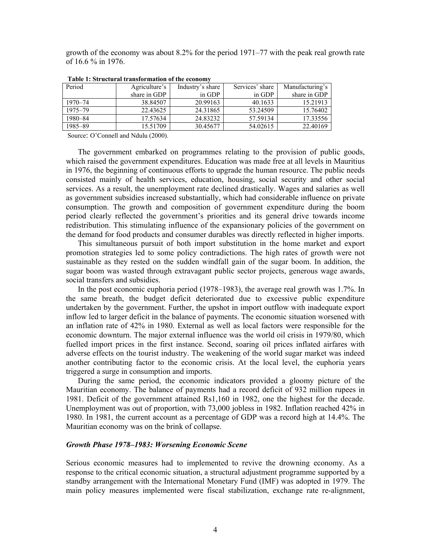growth of the economy was about 8.2% for the period 1971–77 with the peak real growth rate of 16.6 % in 1976.

| Period      | Agriculture's | Industry's share | Services' share | Manufacturing's |
|-------------|---------------|------------------|-----------------|-----------------|
|             | share in GDP  | in GDP           | in GDP          | share in GDP    |
| $1970 - 74$ | 38.84507      | 20.99163         | 40.1633         | 15.21913        |
| 1975-79     | 22.43625      | 24.31865         | 53.24509        | 15.76402        |
| 1980-84     | 17.57634      | 24.83232         | 57.59134        | 17.33556        |
| 1985-89     | 15.51709      | 30.45677         | 54.02615        | 22.40169        |

 **Table 1: Structural transformation of the economy** 

Source: O'Connell and Ndulu (2000).

 The government embarked on programmes relating to the provision of public goods, which raised the government expenditures. Education was made free at all levels in Mauritius in 1976, the beginning of continuous efforts to upgrade the human resource. The public needs consisted mainly of health services, education, housing, social security and other social services. As a result, the unemployment rate declined drastically. Wages and salaries as well as government subsidies increased substantially, which had considerable influence on private consumption. The growth and composition of government expenditure during the boom period clearly reflected the government's priorities and its general drive towards income redistribution. This stimulating influence of the expansionary policies of the government on the demand for food products and consumer durables was directly reflected in higher imports.

 This simultaneous pursuit of both import substitution in the home market and export promotion strategies led to some policy contradictions. The high rates of growth were not sustainable as they rested on the sudden windfall gain of the sugar boom. In addition, the sugar boom was wasted through extravagant public sector projects, generous wage awards, social transfers and subsidies.

 In the post economic euphoria period (1978–1983), the average real growth was 1.7%. In the same breath, the budget deficit deteriorated due to excessive public expenditure undertaken by the government. Further, the upshot in import outflow with inadequate export inflow led to larger deficit in the balance of payments. The economic situation worsened with an inflation rate of 42% in 1980. External as well as local factors were responsible for the economic downturn. The major external influence was the world oil crisis in 1979/80, which fuelled import prices in the first instance. Second, soaring oil prices inflated airfares with adverse effects on the tourist industry. The weakening of the world sugar market was indeed another contributing factor to the economic crisis. At the local level, the euphoria years triggered a surge in consumption and imports.

 During the same period, the economic indicators provided a gloomy picture of the Mauritian economy. The balance of payments had a record deficit of 932 million rupees in 1981. Deficit of the government attained Rs1,160 in 1982, one the highest for the decade. Unemployment was out of proportion, with 73,000 jobless in 1982. Inflation reached 42% in 1980. In 1981, the current account as a percentage of GDP was a record high at 14.4%. The Mauritian economy was on the brink of collapse.

#### *Growth Phase 1978–1983: Worsening Economic Scene*

Serious economic measures had to implemented to revive the drowning economy. As a response to the critical economic situation, a structural adjustment programme supported by a standby arrangement with the International Monetary Fund (IMF) was adopted in 1979. The main policy measures implemented were fiscal stabilization, exchange rate re-alignment,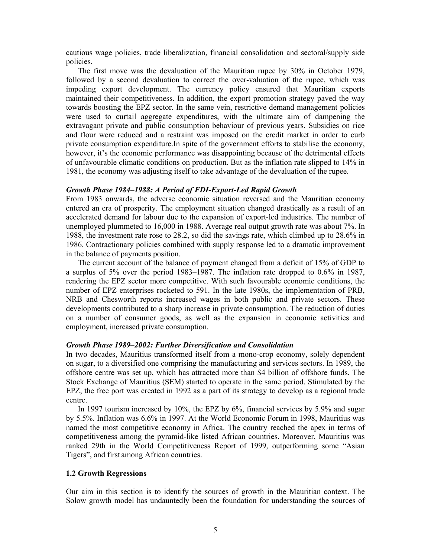cautious wage policies, trade liberalization, financial consolidation and sectoral/supply side policies.

 The first move was the devaluation of the Mauritian rupee by 30% in October 1979, followed by a second devaluation to correct the over-valuation of the rupee, which was impeding export development. The currency policy ensured that Mauritian exports maintained their competitiveness. In addition, the export promotion strategy paved the way towards boosting the EPZ sector. In the same vein, restrictive demand management policies were used to curtail aggregate expenditures, with the ultimate aim of dampening the extravagant private and public consumption behaviour of previous years. Subsidies on rice and flour were reduced and a restraint was imposed on the credit market in order to curb private consumption expenditure.In spite of the government efforts to stabilise the economy, however, it's the economic performance was disappointing because of the detrimental effects of unfavourable climatic conditions on production. But as the inflation rate slipped to 14% in 1981, the economy was adjusting itself to take advantage of the devaluation of the rupee.

### *Growth Phase 1984–1988: A Period of FDI-Export-Led Rapid Growth*

From 1983 onwards, the adverse economic situation reversed and the Mauritian economy entered an era of prosperity. The employment situation changed drastically as a result of an accelerated demand for labour due to the expansion of export-led industries. The number of unemployed plummeted to 16,000 in 1988. Average real output growth rate was about 7%. In 1988, the investment rate rose to 28.2, so did the savings rate, which climbed up to 28.6% in 1986. Contractionary policies combined with supply response led to a dramatic improvement in the balance of payments position.

 The current account of the balance of payment changed from a deficit of 15% of GDP to a surplus of 5% over the period 1983–1987. The inflation rate dropped to 0.6% in 1987, rendering the EPZ sector more competitive. With such favourable economic conditions, the number of EPZ enterprises rocketed to 591. In the late 1980s, the implementation of PRB, NRB and Chesworth reports increased wages in both public and private sectors. These developments contributed to a sharp increase in private consumption. The reduction of duties on a number of consumer goods, as well as the expansion in economic activities and employment, increased private consumption.

## *Growth Phase 1989–2002: Further Diversification and Consolidation*

In two decades, Mauritius transformed itself from a mono-crop economy, solely dependent on sugar, to a diversified one comprising the manufacturing and services sectors. In 1989, the offshore centre was set up, which has attracted more than \$4 billion of offshore funds. The Stock Exchange of Mauritius (SEM) started to operate in the same period. Stimulated by the EPZ, the free port was created in 1992 as a part of its strategy to develop as a regional trade centre.

 In 1997 tourism increased by 10%, the EPZ by 6%, financial services by 5.9% and sugar by 5.5%. Inflation was 6.6% in 1997. At the World Economic Forum in 1998, Mauritius was named the most competitive economy in Africa. The country reached the apex in terms of competitiveness among the pyramid-like listed African countries. Moreover, Mauritius was ranked 29th in the World Competitiveness Report of 1999, outperforming some "Asian Tigers", and first among African countries.

#### **1.2 Growth Regressions**

Our aim in this section is to identify the sources of growth in the Mauritian context. The Solow growth model has undauntedly been the foundation for understanding the sources of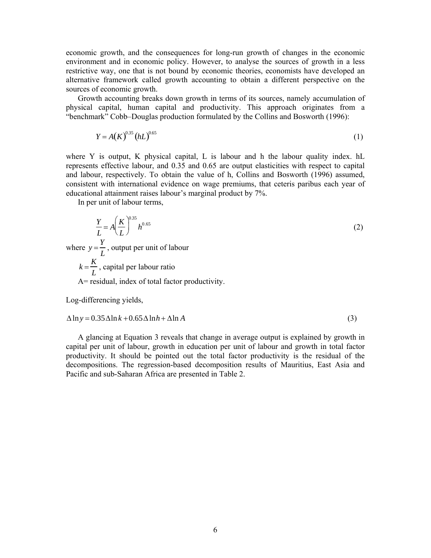economic growth, and the consequences for long-run growth of changes in the economic environment and in economic policy. However, to analyse the sources of growth in a less restrictive way, one that is not bound by economic theories, economists have developed an alternative framework called growth accounting to obtain a different perspective on the sources of economic growth.

 Growth accounting breaks down growth in terms of its sources, namely accumulation of physical capital, human capital and productivity. This approach originates from a "benchmark" Cobb–Douglas production formulated by the Collins and Bosworth (1996):

$$
Y = A(K)^{0.35} (hL)^{0.65}
$$
 (1)

where Y is output, K physical capital, L is labour and h the labour quality index. hL represents effective labour, and 0.35 and 0.65 are output elasticities with respect to capital and labour, respectively. To obtain the value of h, Collins and Bosworth (1996) assumed, consistent with international evidence on wage premiums, that ceteris paribus each year of educational attainment raises labour's marginal product by 7%.

In per unit of labour terms,

$$
\frac{Y}{L} = A \left(\frac{K}{L}\right)^{0.35} h^{0.65}
$$
\nwhere  $y = \frac{Y}{L}$ , output per unit of labour  
\n $k = \frac{K}{L}$ , capital per labour ratio  
\nA= residual, index of total factor productivity.  
\nLog-differenting yields,

$$
\Delta \ln y = 0.35 \Delta \ln k + 0.65 \Delta \ln h + \Delta \ln A \tag{3}
$$

 A glancing at Equation 3 reveals that change in average output is explained by growth in capital per unit of labour, growth in education per unit of labour and growth in total factor productivity. It should be pointed out the total factor productivity is the residual of the decompositions. The regression-based decomposition results of Mauritius, East Asia and Pacific and sub-Saharan Africa are presented in Table 2.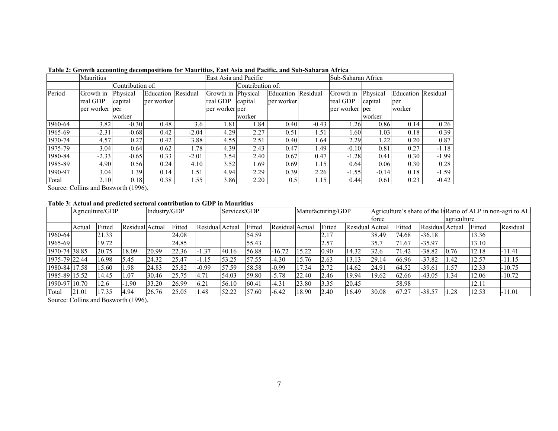|         | Mauritius       |                  |                    |         | East Asia and Pacific |         |                    |         | Sub-Saharan Africa |          |                    |         |
|---------|-----------------|------------------|--------------------|---------|-----------------------|---------|--------------------|---------|--------------------|----------|--------------------|---------|
|         |                 | Contribution of: |                    |         | Contribution of:      |         |                    |         |                    |          |                    |         |
| Period  | Growth in       | Physical         | Education Residual |         | Growth in Physical    |         | Education Residual |         | Growth in          | Physical | Education Residual |         |
|         | real GDP        | capital          | per worker         |         | real GDP              | capital | per worker         |         | real GDP           | capital  | per                |         |
|         | per worker lper |                  |                    |         | per worker per        |         |                    |         | per worker per     |          | worker             |         |
|         |                 | worker           |                    |         |                       | worker  |                    |         |                    | worker   |                    |         |
| 1960-64 | 3.82            | $-0.30$          | 0.48               | 3.6     | 1.81                  | 1.84    | 0.40               | $-0.43$ | 1.26               | 0.86     | 0.14               | 0.26    |
| 1965-69 | $-2.31$         | $-0.68$          | 0.42               | $-2.04$ | 4.29                  | 2.27    | 0.51               | 1.51    | 1.60               | 1.03     | 0.18               | 0.39    |
| 1970-74 | 4.57            | 0.27             | 0.42               | 3.88    | 4.55                  | 2.51    | 0.40               | 1.64    | 2.29               | 1.22     | 0.20               | 0.87    |
| 1975-79 | 3.04            | 0.64             | 0.62               | 1.78    | 4.39                  | 2.43    | 0.47               | 1.49    | $-0.10$            | 0.81     | 0.27               | $-1.18$ |
| 1980-84 | $-2.33$         | $-0.65$          | 0.33               | $-2.01$ | 3.54                  | 2.40    | 0.67               | 0.47    | $-1.28$            | 0.41     | 0.30               | $-1.99$ |
| 1985-89 | 4.90            | 0.56             | 0.24               | 4.10    | 3.52                  | 1.69    | 0.69               | 1.15    | 0.64               | 0.06     | 0.30               | 0.28    |
| 1990-97 | 3.04            | 1.39             | 0.14               | 1.51    | 4.94                  | 2.29    | 0.39               | 2.26    | $-1.55$            | $-0.14$  | 0.18               | $-1.59$ |
| Total   | 2.10            | 0.18             | 0.38               | .55     | 3.86                  | 2.20    | 0.5                | 1.15    | 0.44               | 0.61     | 0.23               | $-0.42$ |

## **Table 2: Growth accounting decompositions for Mauritius, East Asia and Pacific, and Sub-Saharan Africa**

Source: Collins and Bosworth (1996).

## **Table 3: Actual and predicted sectoral contribution to GDP in Mauritius**

|               |        | Agriculture/GDP |                 | Industry/GDP |        |                 | Services/GDP |        |                 |       | Manufacturing/GDP |                 |       |        |                 |             |        | Agriculture's share of the laRatio of ALP in non-agri to AL |
|---------------|--------|-----------------|-----------------|--------------|--------|-----------------|--------------|--------|-----------------|-------|-------------------|-----------------|-------|--------|-----------------|-------------|--------|-------------------------------------------------------------|
|               |        |                 |                 |              |        |                 |              |        |                 |       |                   |                 | force |        |                 | agriculture |        |                                                             |
|               | Actual | Fitted          | Residual Actual |              | Fitted | Residual Actual |              | Fitted | Residual Actual |       | Fitted            | Residual Actual |       | Fitted | Residual Actual |             | Fitted | Residual                                                    |
| 1960-64       |        | 21.33           |                 |              | 24.08  |                 |              | 54.59  |                 |       | 2.17              |                 | 38.49 | 74.68  | $-36.18$        |             | 13.36  |                                                             |
| 1965-69       |        | 19.72           |                 |              | 24.85  |                 |              | 55.43  |                 |       | 2.57              |                 | 35.7  | 71.67  | $-35.97$        |             | 13.10  |                                                             |
| 1970-74 38.85 |        | 20.75           | 18.09           | 20.99        | 22.36  | $-1.37$         | 40.16        | 56.88  | $-16.72$        | 15.22 | 0.90              | 14.32           | 32.6  | 71.42  | $-38.82$        | 0.76        | 12.18  | -11.41                                                      |
| 1975-79 22.44 |        | 16.98           | 5.45            | 24.32        | 25.47  | 1.15            | 53.25        | 57.55  | $-4.30$         | 15.76 | 2.63              | 13.13           | 29.14 | 66.96  | $-37.82$        | .42         | 12.57  | $-11.15$                                                    |
| 1980-84 17.58 |        | 15.60           | 1.98            | 24.83        | 25.82  | $-0.99$         | 57.59        | 58.58  | $-0.99$         | 7.34  | 2.72              | 14.62           | 24.91 | 64.52  | $-39.61$        | . . 57      | 12.33  | $-10.75$                                                    |
| 1985-89 15.52 |        | 14.45           | 1.07            | 30.46        | 25.75  | 4.71            | 54.03        | 59.80  | $-5.78$         | 22.40 | 2.46              | 19.94           | 19.62 | 62.66  | $-43.05$        | .34         | 12.06  | $-10.72$                                                    |
| 1990-97 10.70 |        | 12.6            | 1.90            | 33.20        | 26.99  | 6.21            | 56.10        | 60.41  | $-4.31$         | 23.80 | 3.35              | 20.45           |       | 58.98  |                 |             | 12.11  |                                                             |
| Total         | 21.01  | 17.35           | 4.94            | 26.76        | 25.05  | 1.48            | 52.22        | 57.60  | $-6.42$         | 18.90 | 2.40              | 16.49           | 30.08 | 67.27  | $-38.57$        | .28         | 12.53  | $-11.01$                                                    |

Source: Collins and Bosworth (1996).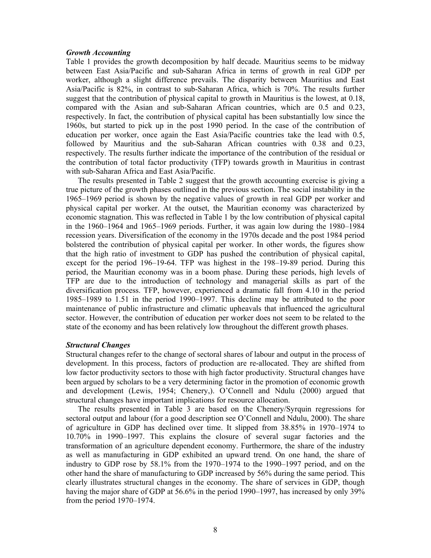#### *Growth Accounting*

Table 1 provides the growth decomposition by half decade. Mauritius seems to be midway between East Asia/Pacific and sub-Saharan Africa in terms of growth in real GDP per worker, although a slight difference prevails. The disparity between Mauritius and East Asia/Pacific is 82%, in contrast to sub-Saharan Africa, which is 70%. The results further suggest that the contribution of physical capital to growth in Mauritius is the lowest, at 0.18, compared with the Asian and sub-Saharan African countries, which are 0.5 and 0.23, respectively. In fact, the contribution of physical capital has been substantially low since the 1960s, but started to pick up in the post 1990 period. In the case of the contribution of education per worker, once again the East Asia/Pacific countries take the lead with 0.5, followed by Mauritius and the sub-Saharan African countries with 0.38 and 0.23, respectively. The results further indicate the importance of the contribution of the residual or the contribution of total factor productivity (TFP) towards growth in Mauritius in contrast with sub-Saharan Africa and East Asia/Pacific.

 The results presented in Table 2 suggest that the growth accounting exercise is giving a true picture of the growth phases outlined in the previous section. The social instability in the 1965–1969 period is shown by the negative values of growth in real GDP per worker and physical capital per worker. At the outset, the Mauritian economy was characterized by economic stagnation. This was reflected in Table 1 by the low contribution of physical capital in the 1960–1964 and 1965–1969 periods. Further, it was again low during the 1980–1984 recession years. Diversification of the economy in the 1970s decade and the post 1984 period bolstered the contribution of physical capital per worker. In other words, the figures show that the high ratio of investment to GDP has pushed the contribution of physical capital, except for the period 196–19-64. TFP was highest in the 198–19-89 period. During this period, the Mauritian economy was in a boom phase. During these periods, high levels of TFP are due to the introduction of technology and managerial skills as part of the diversification process. TFP, however, experienced a dramatic fall from 4.10 in the period 1985–1989 to 1.51 in the period 1990–1997. This decline may be attributed to the poor maintenance of public infrastructure and climatic upheavals that influenced the agricultural sector. However, the contribution of education per worker does not seem to be related to the state of the economy and has been relatively low throughout the different growth phases.

## *Structural Changes*

Structural changes refer to the change of sectoral shares of labour and output in the process of development. In this process, factors of production are re-allocated. They are shifted from low factor productivity sectors to those with high factor productivity. Structural changes have been argued by scholars to be a very determining factor in the promotion of economic growth and development (Lewis, 1954; Chenery,). O'Connell and Ndulu (2000) argued that structural changes have important implications for resource allocation.

 The results presented in Table 3 are based on the Chenery/Syrquin regressions for sectoral output and labour (for a good description see O'Connell and Ndulu, 2000). The share of agriculture in GDP has declined over time. It slipped from 38.85% in 1970–1974 to 10.70% in 1990–1997. This explains the closure of several sugar factories and the transformation of an agriculture dependent economy. Furthermore, the share of the industry as well as manufacturing in GDP exhibited an upward trend. On one hand, the share of industry to GDP rose by 58.1% from the 1970–1974 to the 1990–1997 period, and on the other hand the share of manufacturing to GDP increased by 56% during the same period. This clearly illustrates structural changes in the economy. The share of services in GDP, though having the major share of GDP at 56.6% in the period 1990–1997, has increased by only 39% from the period 1970–1974.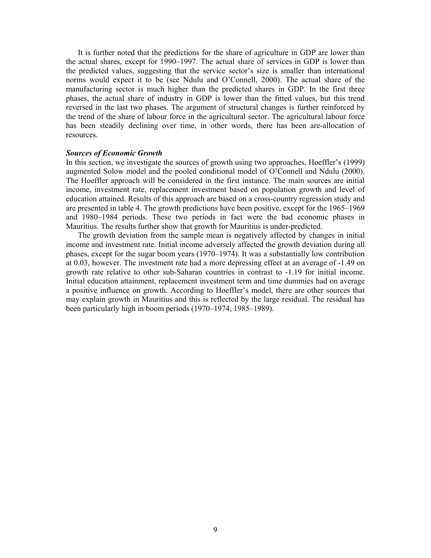It is further noted that the predictions for the share of agriculture in GDP are lower than the actual shares, except for 1990–1997. The actual share of services in GDP is lower than the predicted values, suggesting that the service sector's size is smaller than international norms would expect it to be (see Ndulu and O'Connell, 2000). The actual share of the manufacturing sector is much higher than the predicted shares in GDP. In the first three phases, the actual share of industry in GDP is lower than the fitted values, but this trend reversed in the last two phases. The argument of structural changes is further reinforced by the trend of the share of labour force in the agricultural sector. The agricultural labour force has been steadily declining over time, in other words, there has been are-allocation of resources.

#### *Sources of Economic Growth*

In this section, we investigate the sources of growth using two approaches, Hoeffler's (1999) augmented Solow model and the pooled conditional model of O'Connell and Ndulu (2000). The Hoeffler approach will be considered in the first instance. The main sources are initial income, investment rate, replacement investment based on population growth and level of education attained. Results of this approach are based on a cross-country regression study and are presented in table 4. The growth predictions have been positive, except for the 1965–1969 and 1980–1984 periods. These two periods in fact were the bad economic phases in Mauritius. The results further show that growth for Mauritius is under-predicted.

 The growth deviation from the sample mean is negatively affected by changes in initial income and investment rate. Initial income adversely affected the growth deviation during all phases, except for the sugar boom years (1970–1974). It was a substantially low contribution at 0.03, however. The investment rate had a more depressing effect at an average of -1.49 on growth rate relative to other sub-Saharan countries in contrast to -1.19 for initial income. Initial education attainment, replacement investment term and time dummies had on average a positive influence on growth. According to Hoeffler's model, there are other sources that may explain growth in Mauritius and this is reflected by the large residual. The residual has been particularly high in boom periods (1970–1974, 1985–1989).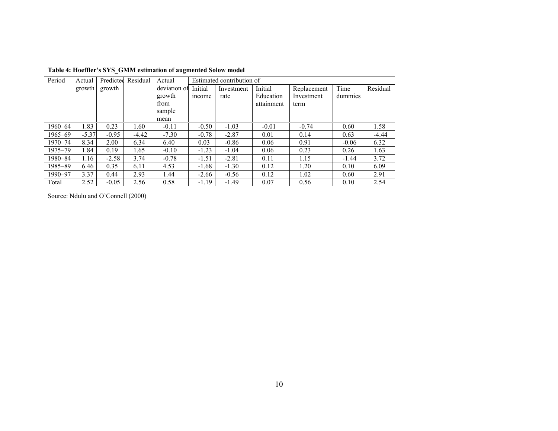| Period      | Actual  | Predicted | Residual | Actual       | Estimated contribution of |            |            |             |         |          |
|-------------|---------|-----------|----------|--------------|---------------------------|------------|------------|-------------|---------|----------|
|             | growth  | growth    |          | deviation of | Initial                   | Investment | Initial    | Replacement | Time    | Residual |
|             |         |           |          | growth       | income                    | rate       | Education  | Investment  | dummies |          |
|             |         |           |          | from         |                           |            | attainment | term        |         |          |
|             |         |           |          | sample       |                           |            |            |             |         |          |
|             |         |           |          | mean         |                           |            |            |             |         |          |
| 1960-64     | 1.83    | 0.23      | 1.60     | $-0.11$      | $-0.50$                   | $-1.03$    | $-0.01$    | $-0.74$     | 0.60    | 1.58     |
| 1965-69     | $-5.37$ | $-0.95$   | $-4.42$  | $-7.30$      | $-0.78$                   | $-2.87$    | 0.01       | 0.14        | 0.63    | $-4.44$  |
| $1970 - 74$ | 8.34    | 2.00      | 6.34     | 6.40         | 0.03                      | $-0.86$    | 0.06       | 0.91        | $-0.06$ | 6.32     |
| 1975-79     | 1.84    | 0.19      | 1.65     | $-0.10$      | $-1.23$                   | $-1.04$    | 0.06       | 0.23        | 0.26    | 1.63     |
| 1980-84     | 1.16    | $-2.58$   | 3.74     | $-0.78$      | $-1.51$                   | $-2.81$    | 0.11       | 1.15        | $-1.44$ | 3.72     |
| 1985-89     | 6.46    | 0.35      | 6.11     | 4.53         | $-1.68$                   | $-1.30$    | 0.12       | 1.20        | 0.10    | 6.09     |
| 1990-97     | 3.37    | 0.44      | 2.93     | 1.44         | $-2.66$                   | $-0.56$    | 0.12       | 1.02        | 0.60    | 2.91     |
| Total       | 2.52    | $-0.05$   | 2.56     | 0.58         | $-1.19$                   | $-1.49$    | 0.07       | 0.56        | 0.10    | 2.54     |

**Table 4: Hoeffler's SYS\_GMM estimation of augmented Solow model** 

Source: Ndulu and O'Connell (2000)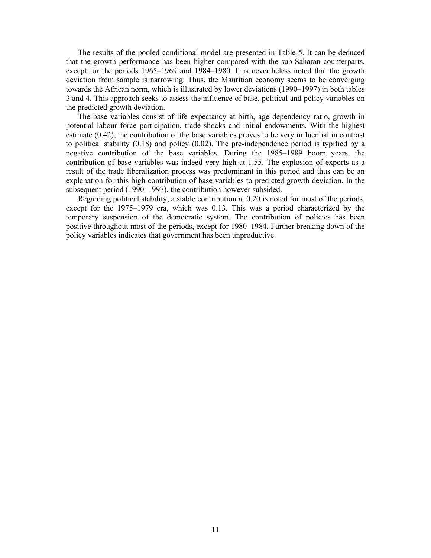The results of the pooled conditional model are presented in Table 5. It can be deduced that the growth performance has been higher compared with the sub-Saharan counterparts, except for the periods 1965–1969 and 1984–1980. It is nevertheless noted that the growth deviation from sample is narrowing. Thus, the Mauritian economy seems to be converging towards the African norm, which is illustrated by lower deviations (1990–1997) in both tables 3 and 4. This approach seeks to assess the influence of base, political and policy variables on the predicted growth deviation.

 The base variables consist of life expectancy at birth, age dependency ratio, growth in potential labour force participation, trade shocks and initial endowments. With the highest estimate (0.42), the contribution of the base variables proves to be very influential in contrast to political stability (0.18) and policy (0.02). The pre-independence period is typified by a negative contribution of the base variables. During the 1985–1989 boom years, the contribution of base variables was indeed very high at 1.55. The explosion of exports as a result of the trade liberalization process was predominant in this period and thus can be an explanation for this high contribution of base variables to predicted growth deviation. In the subsequent period (1990–1997), the contribution however subsided.

 Regarding political stability, a stable contribution at 0.20 is noted for most of the periods, except for the 1975–1979 era, which was 0.13. This was a period characterized by the temporary suspension of the democratic system. The contribution of policies has been positive throughout most of the periods, except for 1980–1984. Further breaking down of the policy variables indicates that government has been unproductive.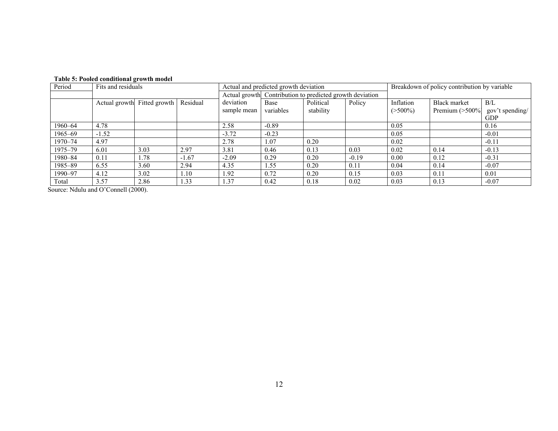| Period  | Fits and residuals |                             |          | Actual and predicted growth deviation |                                                          |                        |         | Breakdown of policy contribution by variable |                                   |                                      |
|---------|--------------------|-----------------------------|----------|---------------------------------------|----------------------------------------------------------|------------------------|---------|----------------------------------------------|-----------------------------------|--------------------------------------|
|         |                    |                             |          |                                       | Actual growth Contribution to predicted growth deviation |                        |         |                                              |                                   |                                      |
|         |                    | Actual growth Fitted growth | Residual | deviation<br>sample mean              | Base<br>variables                                        | Political<br>stability | Policy  | Inflation<br>$($ >500%)                      | Black market<br>Premium $($ >500% | B/L<br>gov't spending/<br><b>GDP</b> |
| 1960–64 | 4.78               |                             |          | 2.58                                  | $-0.89$                                                  |                        |         | 0.05                                         |                                   | 0.16                                 |
| 1965-69 | $-1.52$            |                             |          | $-3.72$                               | $-0.23$                                                  |                        |         | 0.05                                         |                                   | $-0.01$                              |
| 1970–74 | 4.97               |                             |          | 2.78                                  | 1.07                                                     | 0.20                   |         | 0.02                                         |                                   | $-0.11$                              |
| 1975–79 | 6.01               | 3.03                        | 2.97     | 3.81                                  | 0.46                                                     | 0.13                   | 0.03    | 0.02                                         | 0.14                              | $-0.13$                              |
| 1980-84 | 0.11               | 1.78                        | $-1.67$  | $-2.09$                               | 0.29                                                     | 0.20                   | $-0.19$ | 0.00                                         | 0.12                              | $-0.31$                              |
| 1985-89 | 6.55               | 3.60                        | 2.94     | 4.35                                  | 1.55                                                     | 0.20                   | 0.11    | 0.04                                         | 0.14                              | $-0.07$                              |
| 1990-97 | 4.12               | 3.02                        | .10      | 1.92                                  | 0.72                                                     | 0.20                   | 0.15    | 0.03                                         | 0.11                              | 0.01                                 |
| Total   | 3.57               | 2.86                        | .33      | 1.37                                  | 0.42                                                     | 0.18                   | 0.02    | 0.03                                         | 0.13                              | $-0.07$                              |

Source: Ndulu and O'Connell (2000).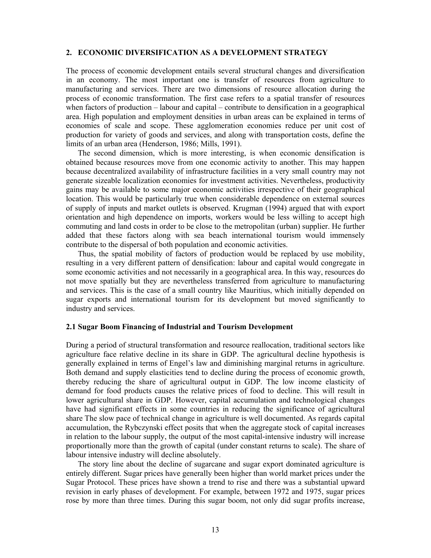## **2. ECONOMIC DIVERSIFICATION AS A DEVELOPMENT STRATEGY**

The process of economic development entails several structural changes and diversification in an economy. The most important one is transfer of resources from agriculture to manufacturing and services. There are two dimensions of resource allocation during the process of economic transformation. The first case refers to a spatial transfer of resources when factors of production – labour and capital – contribute to densification in a geographical area. High population and employment densities in urban areas can be explained in terms of economies of scale and scope. These agglomeration economies reduce per unit cost of production for variety of goods and services, and along with transportation costs, define the limits of an urban area (Henderson, 1986; Mills, 1991).

 The second dimension, which is more interesting, is when economic densification is obtained because resources move from one economic activity to another. This may happen because decentralized availability of infrastructure facilities in a very small country may not generate sizeable localization economies for investment activities. Nevertheless, productivity gains may be available to some major economic activities irrespective of their geographical location. This would be particularly true when considerable dependence on external sources of supply of inputs and market outlets is observed. Krugman (1994) argued that with export orientation and high dependence on imports, workers would be less willing to accept high commuting and land costs in order to be close to the metropolitan (urban) supplier. He further added that these factors along with sea beach international tourism would immensely contribute to the dispersal of both population and economic activities.

 Thus, the spatial mobility of factors of production would be replaced by use mobility, resulting in a very different pattern of densification: labour and capital would congregate in some economic activities and not necessarily in a geographical area. In this way, resources do not move spatially but they are nevertheless transferred from agriculture to manufacturing and services. This is the case of a small country like Mauritius, which initially depended on sugar exports and international tourism for its development but moved significantly to industry and services.

#### **2.1 Sugar Boom Financing of Industrial and Tourism Development**

During a period of structural transformation and resource reallocation, traditional sectors like agriculture face relative decline in its share in GDP. The agricultural decline hypothesis is generally explained in terms of Engel's law and diminishing marginal returns in agriculture. Both demand and supply elasticities tend to decline during the process of economic growth, thereby reducing the share of agricultural output in GDP. The low income elasticity of demand for food products causes the relative prices of food to decline. This will result in lower agricultural share in GDP. However, capital accumulation and technological changes have had significant effects in some countries in reducing the significance of agricultural share The slow pace of technical change in agriculture is well documented. As regards capital accumulation, the Rybczynski effect posits that when the aggregate stock of capital increases in relation to the labour supply, the output of the most capital-intensive industry will increase proportionally more than the growth of capital (under constant returns to scale). The share of labour intensive industry will decline absolutely.

 The story line about the decline of sugarcane and sugar export dominated agriculture is entirely different. Sugar prices have generally been higher than world market prices under the Sugar Protocol. These prices have shown a trend to rise and there was a substantial upward revision in early phases of development. For example, between 1972 and 1975, sugar prices rose by more than three times. During this sugar boom, not only did sugar profits increase,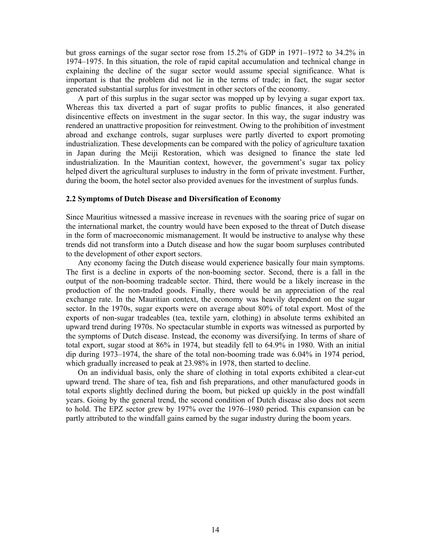but gross earnings of the sugar sector rose from 15.2% of GDP in 1971–1972 to 34.2% in 1974–1975. In this situation, the role of rapid capital accumulation and technical change in explaining the decline of the sugar sector would assume special significance. What is important is that the problem did not lie in the terms of trade; in fact, the sugar sector generated substantial surplus for investment in other sectors of the economy.

 A part of this surplus in the sugar sector was mopped up by levying a sugar export tax. Whereas this tax diverted a part of sugar profits to public finances, it also generated disincentive effects on investment in the sugar sector. In this way, the sugar industry was rendered an unattractive proposition for reinvestment. Owing to the prohibition of investment abroad and exchange controls, sugar surpluses were partly diverted to export promoting industrialization. These developments can be compared with the policy of agriculture taxation in Japan during the Meiji Restoration, which was designed to finance the state led industrialization. In the Mauritian context, however, the government's sugar tax policy helped divert the agricultural surpluses to industry in the form of private investment. Further, during the boom, the hotel sector also provided avenues for the investment of surplus funds.

#### **2.2 Symptoms of Dutch Disease and Diversification of Economy**

Since Mauritius witnessed a massive increase in revenues with the soaring price of sugar on the international market, the country would have been exposed to the threat of Dutch disease in the form of macroeconomic mismanagement. It would be instructive to analyse why these trends did not transform into a Dutch disease and how the sugar boom surpluses contributed to the development of other export sectors.

 Any economy facing the Dutch disease would experience basically four main symptoms. The first is a decline in exports of the non-booming sector. Second, there is a fall in the output of the non-booming tradeable sector. Third, there would be a likely increase in the production of the non-traded goods. Finally, there would be an appreciation of the real exchange rate. In the Mauritian context, the economy was heavily dependent on the sugar sector. In the 1970s, sugar exports were on average about 80% of total export. Most of the exports of non-sugar tradeables (tea, textile yarn, clothing) in absolute terms exhibited an upward trend during 1970s. No spectacular stumble in exports was witnessed as purported by the symptoms of Dutch disease. Instead, the economy was diversifying. In terms of share of total export, sugar stood at 86% in 1974, but steadily fell to 64.9% in 1980. With an initial dip during 1973–1974, the share of the total non-booming trade was 6.04% in 1974 period, which gradually increased to peak at 23.98% in 1978, then started to decline.

 On an individual basis, only the share of clothing in total exports exhibited a clear-cut upward trend. The share of tea, fish and fish preparations, and other manufactured goods in total exports slightly declined during the boom, but picked up quickly in the post windfall years. Going by the general trend, the second condition of Dutch disease also does not seem to hold. The EPZ sector grew by 197% over the 1976–1980 period. This expansion can be partly attributed to the windfall gains earned by the sugar industry during the boom years.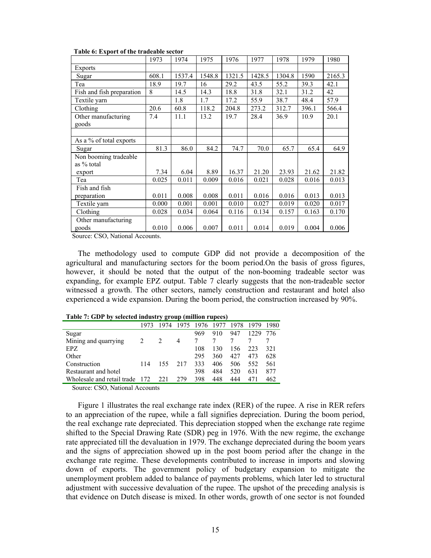| r aoit oi Export or the traduole sector |       |        |        |        |        |        |       |        |
|-----------------------------------------|-------|--------|--------|--------|--------|--------|-------|--------|
|                                         | 1973  | 1974   | 1975   | 1976   | 1977   | 1978   | 1979  | 1980   |
| <b>Exports</b>                          |       |        |        |        |        |        |       |        |
| Sugar                                   | 608.1 | 1537.4 | 1548.8 | 1321.5 | 1428.5 | 1304.8 | 1590  | 2165.3 |
| Tea                                     | 18.9  | 19.7   | 16     | 29.2   | 43.5   | 55.2   | 39.3  | 42.1   |
| Fish and fish preparation               | 8     | 14.5   | 14.3   | 18.8   | 31.8   | 32.1   | 31.2  | 42     |
| Textile yarn                            |       | 1.8    | 1.7    | 17.2   | 55.9   | 38.7   | 48.4  | 57.9   |
| Clothing                                | 20.6  | 60.8   | 118.2  | 204.8  | 273.2  | 312.7  | 396.1 | 566.4  |
| Other manufacturing<br>goods            | 7.4   | 11.1   | 13.2   | 19.7   | 28.4   | 36.9   | 10.9  | 20.1   |
|                                         |       |        |        |        |        |        |       |        |
| As a % of total exports                 |       |        |        |        |        |        |       |        |
| Sugar                                   | 81.3  | 86.0   | 84.2   | 74.7   | 70.0   | 65.7   | 65.4  | 64.9   |
| Non booming tradeable                   |       |        |        |        |        |        |       |        |
| as % total                              |       |        |        |        |        |        |       |        |
| export                                  | 7.34  | 6.04   | 8.89   | 16.37  | 21.20  | 23.93  | 21.62 | 21.82  |
| Tea                                     | 0.025 | 0.011  | 0.009  | 0.016  | 0.021  | 0.028  | 0.016 | 0.013  |
| Fish and fish                           |       |        |        |        |        |        |       |        |
| preparation                             | 0.011 | 0.008  | 0.008  | 0.011  | 0.016  | 0.016  | 0.013 | 0.013  |
| Textile yarn                            | 0.000 | 0.001  | 0.001  | 0.010  | 0.027  | 0.019  | 0.020 | 0.017  |
| Clothing                                | 0.028 | 0.034  | 0.064  | 0.116  | 0.134  | 0.157  | 0.163 | 0.170  |
| Other manufacturing                     |       |        |        |        |        |        |       |        |
| goods                                   | 0.010 | 0.006  | 0.007  | 0.011  | 0.014  | 0.019  | 0.004 | 0.006  |

 **Table 6: Export of the tradeable sector** 

Source: CSO, National Accounts.

 The methodology used to compute GDP did not provide a decomposition of the agricultural and manufacturing sectors for the boom period.On the basis of gross figures, however, it should be noted that the output of the non-booming tradeable sector was expanding, for example EPZ output. Table 7 clearly suggests that the non-tradeable sector witnessed a growth. The other sectors, namely construction and restaurant and hotel also experienced a wide expansion. During the boom period, the construction increased by 90%.

|                            | 1973 | 1974 | 1975 | 1976 | 1977 | 1978 | 1979 | 1980 |  |
|----------------------------|------|------|------|------|------|------|------|------|--|
| Sugar                      |      |      |      | 969  | 910  | 947  | 1229 | 776  |  |
| Mining and quarrying       | 2    | 2    | 4    |      |      |      |      |      |  |
| EPZ.                       |      |      |      | 108  | 130  | 156  | 223  | 321  |  |
| Other                      |      |      |      | 295  | 360  | 427  | 473  | 628  |  |
| Construction               | 114  | 155  | 217  | 333  | 406  | 506  | 552  | 561  |  |
| Restaurant and hotel       |      |      |      | 398  | 484  | 520  | 631  | 877  |  |
| Wholesale and retail trade | 172  | 221  | 279  | 398  | 448  | 444  | 471  | 462  |  |

**Table 7: GDP by selected industry group (million rupees)** 

Source: CSO, National Accounts

 Figure 1 illustrates the real exchange rate index (RER) of the rupee. A rise in RER refers to an appreciation of the rupee, while a fall signifies depreciation. During the boom period, the real exchange rate depreciated. This depreciation stopped when the exchange rate regime shifted to the Special Drawing Rate (SDR) peg in 1976. With the new regime, the exchange rate appreciated till the devaluation in 1979. The exchange depreciated during the boom years and the signs of appreciation showed up in the post boom period after the change in the exchange rate regime. These developments contributed to increase in imports and slowing down of exports. The government policy of budgetary expansion to mitigate the unemployment problem added to balance of payments problems, which later led to structural adjustment with successive devaluation of the rupee. The upshot of the preceding analysis is that evidence on Dutch disease is mixed. In other words, growth of one sector is not founded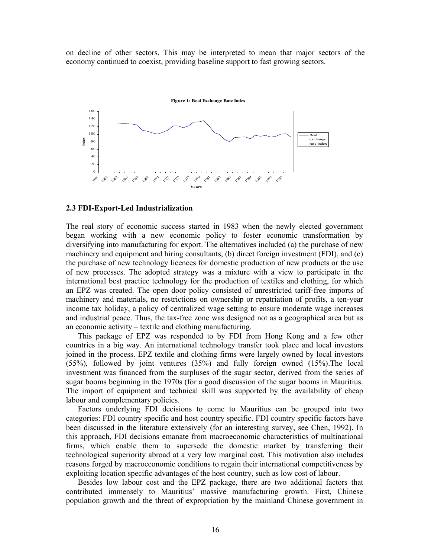on decline of other sectors. This may be interpreted to mean that major sectors of the economy continued to coexist, providing baseline support to fast growing sectors.



#### **2.3 FDI-Export-Led Industrialization**

The real story of economic success started in 1983 when the newly elected government began working with a new economic policy to foster economic transformation by diversifying into manufacturing for export. The alternatives included (a) the purchase of new machinery and equipment and hiring consultants, (b) direct foreign investment (FDI), and (c) the purchase of new technology licences for domestic production of new products or the use of new processes. The adopted strategy was a mixture with a view to participate in the international best practice technology for the production of textiles and clothing, for which an EPZ was created. The open door policy consisted of unrestricted tariff-free imports of machinery and materials, no restrictions on ownership or repatriation of profits, a ten-year income tax holiday, a policy of centralized wage setting to ensure moderate wage increases and industrial peace. Thus, the tax-free zone was designed not as a geographical area but as an economic activity – textile and clothing manufacturing.

 This package of EPZ was responded to by FDI from Hong Kong and a few other countries in a big way. An international technology transfer took place and local investors joined in the process. EPZ textile and clothing firms were largely owned by local investors (55%), followed by joint ventures (35%) and fully foreign owned (15%).The local investment was financed from the surpluses of the sugar sector, derived from the series of sugar booms beginning in the 1970s (for a good discussion of the sugar booms in Mauritius. The import of equipment and technical skill was supported by the availability of cheap labour and complementary policies.

 Factors underlying FDI decisions to come to Mauritius can be grouped into two categories: FDI country specific and host country specific. FDI country specific factors have been discussed in the literature extensively (for an interesting survey, see Chen, 1992). In this approach, FDI decisions emanate from macroeconomic characteristics of multinational firms, which enable them to supersede the domestic market by transferring their technological superiority abroad at a very low marginal cost. This motivation also includes reasons forged by macroeconomic conditions to regain their international competitiveness by exploiting location specific advantages of the host country, such as low cost of labour.

 Besides low labour cost and the EPZ package, there are two additional factors that contributed immensely to Mauritius' massive manufacturing growth. First, Chinese population growth and the threat of expropriation by the mainland Chinese government in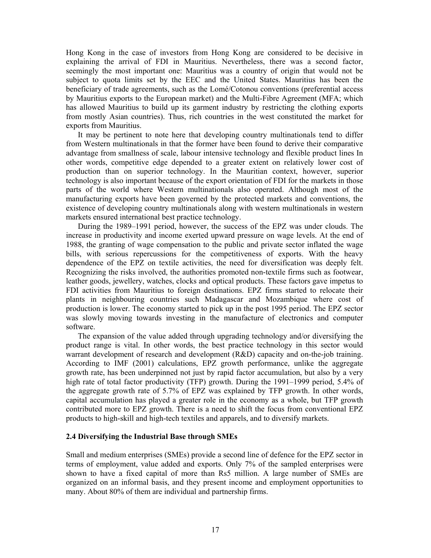Hong Kong in the case of investors from Hong Kong are considered to be decisive in explaining the arrival of FDI in Mauritius. Nevertheless, there was a second factor, seemingly the most important one: Mauritius was a country of origin that would not be subject to quota limits set by the EEC and the United States. Mauritius has been the beneficiary of trade agreements, such as the Lomé/Cotonou conventions (preferential access by Mauritius exports to the European market) and the Multi-Fibre Agreement (MFA; which has allowed Mauritius to build up its garment industry by restricting the clothing exports from mostly Asian countries). Thus, rich countries in the west constituted the market for exports from Mauritius.

 It may be pertinent to note here that developing country multinationals tend to differ from Western multinationals in that the former have been found to derive their comparative advantage from smallness of scale, labour intensive technology and flexible product lines In other words, competitive edge depended to a greater extent on relatively lower cost of production than on superior technology. In the Mauritian context, however, superior technology is also important because of the export orientation of FDI for the markets in those parts of the world where Western multinationals also operated. Although most of the manufacturing exports have been governed by the protected markets and conventions, the existence of developing country multinationals along with western multinationals in western markets ensured international best practice technology.

 During the 1989–1991 period, however, the success of the EPZ was under clouds. The increase in productivity and income exerted upward pressure on wage levels. At the end of 1988, the granting of wage compensation to the public and private sector inflated the wage bills, with serious repercussions for the competitiveness of exports. With the heavy dependence of the EPZ on textile activities, the need for diversification was deeply felt. Recognizing the risks involved, the authorities promoted non-textile firms such as footwear, leather goods, jewellery, watches, clocks and optical products. These factors gave impetus to FDI activities from Mauritius to foreign destinations. EPZ firms started to relocate their plants in neighbouring countries such Madagascar and Mozambique where cost of production is lower. The economy started to pick up in the post 1995 period. The EPZ sector was slowly moving towards investing in the manufacture of electronics and computer software.

 The expansion of the value added through upgrading technology and/or diversifying the product range is vital. In other words, the best practice technology in this sector would warrant development of research and development (R&D) capacity and on-the-job training. According to IMF (2001) calculations, EPZ growth performance, unlike the aggregate growth rate, has been underpinned not just by rapid factor accumulation, but also by a very high rate of total factor productivity (TFP) growth. During the 1991–1999 period, 5.4% of the aggregate growth rate of 5.7% of EPZ was explained by TFP growth. In other words, capital accumulation has played a greater role in the economy as a whole, but TFP growth contributed more to EPZ growth. There is a need to shift the focus from conventional EPZ products to high-skill and high-tech textiles and apparels, and to diversify markets.

## **2.4 Diversifying the Industrial Base through SMEs**

Small and medium enterprises (SMEs) provide a second line of defence for the EPZ sector in terms of employment, value added and exports. Only 7% of the sampled enterprises were shown to have a fixed capital of more than Rs5 million. A large number of SMEs are organized on an informal basis, and they present income and employment opportunities to many. About 80% of them are individual and partnership firms.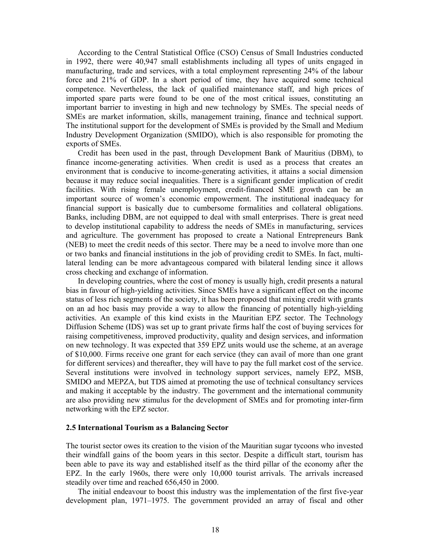According to the Central Statistical Office (CSO) Census of Small Industries conducted in 1992, there were 40,947 small establishments including all types of units engaged in manufacturing, trade and services, with a total employment representing 24% of the labour force and 21% of GDP. In a short period of time, they have acquired some technical competence. Nevertheless, the lack of qualified maintenance staff, and high prices of imported spare parts were found to be one of the most critical issues, constituting an important barrier to investing in high and new technology by SMEs. The special needs of SMEs are market information, skills, management training, finance and technical support. The institutional support for the development of SMEs is provided by the Small and Medium Industry Development Organization (SMIDO), which is also responsible for promoting the exports of SMEs.

 Credit has been used in the past, through Development Bank of Mauritius (DBM), to finance income-generating activities. When credit is used as a process that creates an environment that is conducive to income-generating activities, it attains a social dimension because it may reduce social inequalities. There is a significant gender implication of credit facilities. With rising female unemployment, credit-financed SME growth can be an important source of women's economic empowerment. The institutional inadequacy for financial support is basically due to cumbersome formalities and collateral obligations. Banks, including DBM, are not equipped to deal with small enterprises. There is great need to develop institutional capability to address the needs of SMEs in manufacturing, services and agriculture. The government has proposed to create a National Entrepreneurs Bank (NEB) to meet the credit needs of this sector. There may be a need to involve more than one or two banks and financial institutions in the job of providing credit to SMEs. In fact, multilateral lending can be more advantageous compared with bilateral lending since it allows cross checking and exchange of information.

 In developing countries, where the cost of money is usually high, credit presents a natural bias in favour of high-yielding activities. Since SMEs have a significant effect on the income status of less rich segments of the society, it has been proposed that mixing credit with grants on an ad hoc basis may provide a way to allow the financing of potentially high-yielding activities. An example of this kind exists in the Mauritian EPZ sector. The Technology Diffusion Scheme (IDS) was set up to grant private firms half the cost of buying services for raising competitiveness, improved productivity, quality and design services, and information on new technology. It was expected that 359 EPZ units would use the scheme, at an average of \$10,000. Firms receive one grant for each service (they can avail of more than one grant for different services) and thereafter, they will have to pay the full market cost of the service. Several institutions were involved in technology support services, namely EPZ, MSB, SMIDO and MEPZA, but TDS aimed at promoting the use of technical consultancy services and making it acceptable by the industry. The government and the international community are also providing new stimulus for the development of SMEs and for promoting inter-firm networking with the EPZ sector.

#### **2.5 International Tourism as a Balancing Sector**

The tourist sector owes its creation to the vision of the Mauritian sugar tycoons who invested their windfall gains of the boom years in this sector. Despite a difficult start, tourism has been able to pave its way and established itself as the third pillar of the economy after the EPZ. In the early 1960s, there were only 10,000 tourist arrivals. The arrivals increased steadily over time and reached 656,450 in 2000.

 The initial endeavour to boost this industry was the implementation of the first five-year development plan, 1971–1975. The government provided an array of fiscal and other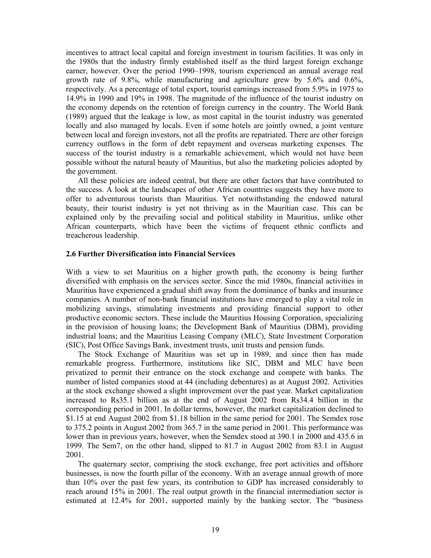incentives to attract local capital and foreign investment in tourism facilities. It was only in the 1980s that the industry firmly established itself as the third largest foreign exchange earner, however. Over the period 1990–1998, tourism experienced an annual average real growth rate of 9.8%, while manufacturing and agriculture grew by 5.6% and 0.6%, respectively. As a percentage of total export, tourist earnings increased from 5.9% in 1975 to 14.9% in 1990 and 19% in 1998. The magnitude of the influence of the tourist industry on the economy depends on the retention of foreign currency in the country. The World Bank (1989) argued that the leakage is low, as most capital in the tourist industry was generated locally and also managed by locals. Even if some hotels are jointly owned, a joint venture between local and foreign investors, not all the profits are repatriated. There are other foreign currency outflows in the form of debt repayment and overseas marketing expenses. The success of the tourist industry is a remarkable achievement, which would not have been possible without the natural beauty of Mauritius, but also the marketing policies adopted by the government.

 All these policies are indeed central, but there are other factors that have contributed to the success. A look at the landscapes of other African countries suggests they have more to offer to adventurous tourists than Mauritius. Yet notwithstanding the endowed natural beauty, their tourist industry is yet not thriving as in the Mauritian case. This can be explained only by the prevailing social and political stability in Mauritius, unlike other African counterparts, which have been the victims of frequent ethnic conflicts and treacherous leadership.

## **2.6 Further Diversification into Financial Services**

With a view to set Mauritius on a higher growth path, the economy is being further diversified with emphasis on the services sector. Since the mid 1980s, financial activities in Mauritius have experienced a gradual shift away from the dominance of banks and insurance companies. A number of non-bank financial institutions have emerged to play a vital role in mobilizing savings, stimulating investments and providing financial support to other productive economic sectors. These include the Mauritius Housing Corporation, specializing in the provision of housing loans; the Development Bank of Mauritius (DBM), providing industrial loans; and the Mauritius Leasing Company (MLC), State Investment Corporation (SIC), Post Office Savings Bank, investment trusts, unit trusts and pension funds.

 The Stock Exchange of Mauritius was set up in 1989, and since then has made remarkable progress. Furthermore, institutions like SIC, DBM and MLC have been privatized to permit their entrance on the stock exchange and compete with banks. The number of listed companies stood at 44 (including debentures) as at August 2002. Activities at the stock exchange showed a slight improvement over the past year. Market capitalization increased to Rs35.1 billion as at the end of August 2002 from Rs34.4 billion in the corresponding period in 2001. In dollar terms, however, the market capitalization declined to \$1.15 at end August 2002 from \$1.18 billion in the same period for 2001. The Semdex rose to 375.2 points in August 2002 from 365.7 in the same period in 2001. This performance was lower than in previous years, however, when the Semdex stood at 390.1 in 2000 and 435.6 in 1999. The Sem7, on the other hand, slipped to 81.7 in August 2002 from 83.1 in August 2001.

 The quaternary sector, comprising the stock exchange, free port activities and offshore businesses, is now the fourth pillar of the economy. With an average annual growth of more than 10% over the past few years, its contribution to GDP has increased considerably to reach around 15% in 2001. The real output growth in the financial intermediation sector is estimated at 12.4% for 2001, supported mainly by the banking sector. The "business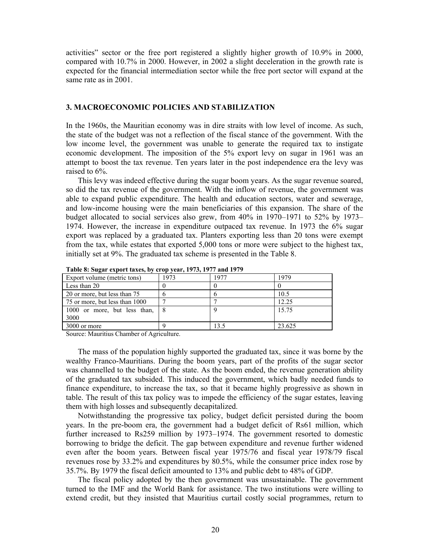activities" sector or the free port registered a slightly higher growth of 10.9% in 2000, compared with 10.7% in 2000. However, in 2002 a slight deceleration in the growth rate is expected for the financial intermediation sector while the free port sector will expand at the same rate as in 2001.

## **3. MACROECONOMIC POLICIES AND STABILIZATION**

In the 1960s, the Mauritian economy was in dire straits with low level of income. As such, the state of the budget was not a reflection of the fiscal stance of the government. With the low income level, the government was unable to generate the required tax to instigate economic development. The imposition of the 5% export levy on sugar in 1961 was an attempt to boost the tax revenue. Ten years later in the post independence era the levy was raised to 6%.

 This levy was indeed effective during the sugar boom years. As the sugar revenue soared, so did the tax revenue of the government. With the inflow of revenue, the government was able to expand public expenditure. The health and education sectors, water and sewerage, and low-income housing were the main beneficiaries of this expansion. The share of the budget allocated to social services also grew, from 40% in 1970–1971 to 52% by 1973– 1974. However, the increase in expenditure outpaced tax revenue. In 1973 the 6% sugar export was replaced by a graduated tax. Planters exporting less than 20 tons were exempt from the tax, while estates that exported 5,000 tons or more were subject to the highest tax, initially set at 9%. The graduated tax scheme is presented in the Table 8.

| Export volume (metric tons)    | 1973 | 1977 | 1979   |
|--------------------------------|------|------|--------|
| Less than 20                   |      |      |        |
| 20 or more, but less than 75   |      | n    | 10.5   |
| 75 or more, but less than 1000 |      |      | 12.25  |
| 1000 or more, but less than, 8 |      |      | 15.75  |
| 3000                           |      |      |        |
| 3000 or more                   |      | 13.5 | 23.625 |
|                                |      |      |        |

**Table 8: Sugar export taxes, by crop year, 1973, 1977 and 1979** 

Source: Mauritius Chamber of Agriculture.

 The mass of the population highly supported the graduated tax, since it was borne by the wealthy Franco-Mauritians. During the boom years, part of the profits of the sugar sector was channelled to the budget of the state. As the boom ended, the revenue generation ability of the graduated tax subsided. This induced the government, which badly needed funds to finance expenditure, to increase the tax, so that it became highly progressive as shown in table. The result of this tax policy was to impede the efficiency of the sugar estates, leaving them with high losses and subsequently decapitalized.

 Notwithstanding the progressive tax policy, budget deficit persisted during the boom years. In the pre-boom era, the government had a budget deficit of Rs61 million, which further increased to Rs259 million by 1973–1974. The government resorted to domestic borrowing to bridge the deficit. The gap between expenditure and revenue further widened even after the boom years. Between fiscal year 1975/76 and fiscal year 1978/79 fiscal revenues rose by 33.2% and expenditures by 80.5%, while the consumer price index rose by 35.7%. By 1979 the fiscal deficit amounted to 13% and public debt to 48% of GDP.

 The fiscal policy adopted by the then government was unsustainable. The government turned to the IMF and the World Bank for assistance. The two institutions were willing to extend credit, but they insisted that Mauritius curtail costly social programmes, return to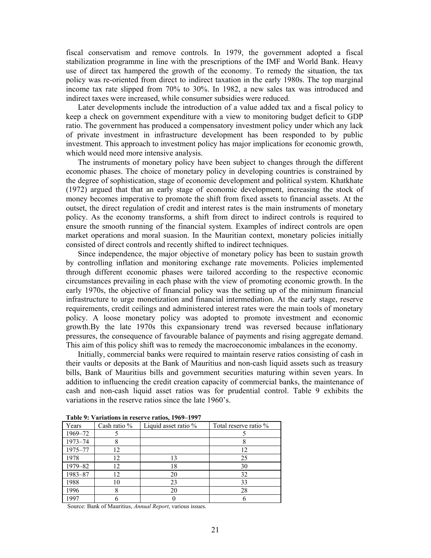fiscal conservatism and remove controls. In 1979, the government adopted a fiscal stabilization programme in line with the prescriptions of the IMF and World Bank. Heavy use of direct tax hampered the growth of the economy. To remedy the situation, the tax policy was re-oriented from direct to indirect taxation in the early 1980s. The top marginal income tax rate slipped from 70% to 30%. In 1982, a new sales tax was introduced and indirect taxes were increased, while consumer subsidies were reduced.

 Later developments include the introduction of a value added tax and a fiscal policy to keep a check on government expenditure with a view to monitoring budget deficit to GDP ratio. The government has produced a compensatory investment policy under which any lack of private investment in infrastructure development has been responded to by public investment. This approach to investment policy has major implications for economic growth, which would need more intensive analysis.

 The instruments of monetary policy have been subject to changes through the different economic phases. The choice of monetary policy in developing countries is constrained by the degree of sophistication, stage of economic development and political system. Khatkhate (1972) argued that that an early stage of economic development, increasing the stock of money becomes imperative to promote the shift from fixed assets to financial assets. At the outset, the direct regulation of credit and interest rates is the main instruments of monetary policy. As the economy transforms, a shift from direct to indirect controls is required to ensure the smooth running of the financial system. Examples of indirect controls are open market operations and moral suasion. In the Mauritian context, monetary policies initially consisted of direct controls and recently shifted to indirect techniques.

 Since independence, the major objective of monetary policy has been to sustain growth by controlling inflation and monitoring exchange rate movements. Policies implemented through different economic phases were tailored according to the respective economic circumstances prevailing in each phase with the view of promoting economic growth. In the early 1970s, the objective of financial policy was the setting up of the minimum financial infrastructure to urge monetization and financial intermediation. At the early stage, reserve requirements, credit ceilings and administered interest rates were the main tools of monetary policy. A loose monetary policy was adopted to promote investment and economic growth.By the late 1970s this expansionary trend was reversed because inflationary pressures, the consequence of favourable balance of payments and rising aggregate demand. This aim of this policy shift was to remedy the macroeconomic imbalances in the economy.

 Initially, commercial banks were required to maintain reserve ratios consisting of cash in their vaults or deposits at the Bank of Mauritius and non-cash liquid assets such as treasury bills, Bank of Mauritius bills and government securities maturing within seven years. In addition to influencing the credit creation capacity of commercial banks, the maintenance of cash and non-cash liquid asset ratios was for prudential control. Table 9 exhibits the variations in the reserve ratios since the late 1960's.

| Years   | Cash ratio % | Liquid asset ratio % | Total reserve ratio % |
|---------|--------------|----------------------|-----------------------|
| 1969-72 |              |                      |                       |
| 1973-74 |              |                      |                       |
| 1975-77 | 12           |                      | 12                    |
| 1978    | 12           | 13                   | 25                    |
| 1979-82 | 12           | 18                   | 30                    |
| 1983-87 | 12           | 20                   | 32                    |
| 1988    | 10           | 23                   | 33                    |
| 1996    |              | 20                   | 28                    |
| 1997    |              |                      |                       |

**Table 9: Variations in reserve ratios, 1969–1997** 

Source: Bank of Mauritius, *Annual Report*, various issues.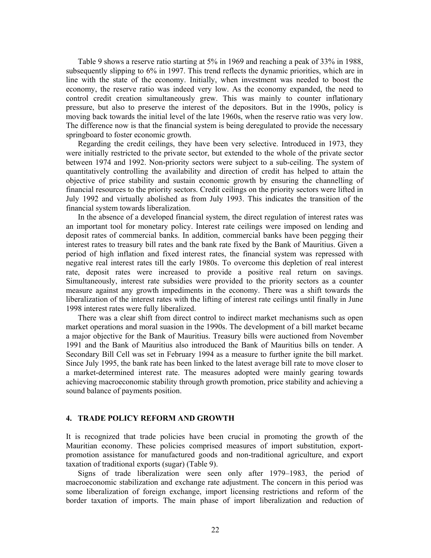Table 9 shows a reserve ratio starting at 5% in 1969 and reaching a peak of 33% in 1988, subsequently slipping to 6% in 1997. This trend reflects the dynamic priorities, which are in line with the state of the economy. Initially, when investment was needed to boost the economy, the reserve ratio was indeed very low. As the economy expanded, the need to control credit creation simultaneously grew. This was mainly to counter inflationary pressure, but also to preserve the interest of the depositors. But in the 1990s, policy is moving back towards the initial level of the late 1960s, when the reserve ratio was very low. The difference now is that the financial system is being deregulated to provide the necessary springboard to foster economic growth.

 Regarding the credit ceilings, they have been very selective. Introduced in 1973, they were initially restricted to the private sector, but extended to the whole of the private sector between 1974 and 1992. Non-priority sectors were subject to a sub-ceiling. The system of quantitatively controlling the availability and direction of credit has helped to attain the objective of price stability and sustain economic growth by ensuring the channelling of financial resources to the priority sectors. Credit ceilings on the priority sectors were lifted in July 1992 and virtually abolished as from July 1993. This indicates the transition of the financial system towards liberalization.

 In the absence of a developed financial system, the direct regulation of interest rates was an important tool for monetary policy. Interest rate ceilings were imposed on lending and deposit rates of commercial banks. In addition, commercial banks have been pegging their interest rates to treasury bill rates and the bank rate fixed by the Bank of Mauritius. Given a period of high inflation and fixed interest rates, the financial system was repressed with negative real interest rates till the early 1980s. To overcome this depletion of real interest rate, deposit rates were increased to provide a positive real return on savings. Simultaneously, interest rate subsidies were provided to the priority sectors as a counter measure against any growth impediments in the economy. There was a shift towards the liberalization of the interest rates with the lifting of interest rate ceilings until finally in June 1998 interest rates were fully liberalized.

 There was a clear shift from direct control to indirect market mechanisms such as open market operations and moral suasion in the 1990s. The development of a bill market became a major objective for the Bank of Mauritius. Treasury bills were auctioned from November 1991 and the Bank of Mauritius also introduced the Bank of Mauritius bills on tender. A Secondary Bill Cell was set in February 1994 as a measure to further ignite the bill market. Since July 1995, the bank rate has been linked to the latest average bill rate to move closer to a market-determined interest rate. The measures adopted were mainly gearing towards achieving macroeconomic stability through growth promotion, price stability and achieving a sound balance of payments position.

## **4. TRADE POLICY REFORM AND GROWTH**

It is recognized that trade policies have been crucial in promoting the growth of the Mauritian economy. These policies comprised measures of import substitution, exportpromotion assistance for manufactured goods and non-traditional agriculture, and export taxation of traditional exports (sugar) (Table 9).

 Signs of trade liberalization were seen only after 1979–1983, the period of macroeconomic stabilization and exchange rate adjustment. The concern in this period was some liberalization of foreign exchange, import licensing restrictions and reform of the border taxation of imports. The main phase of import liberalization and reduction of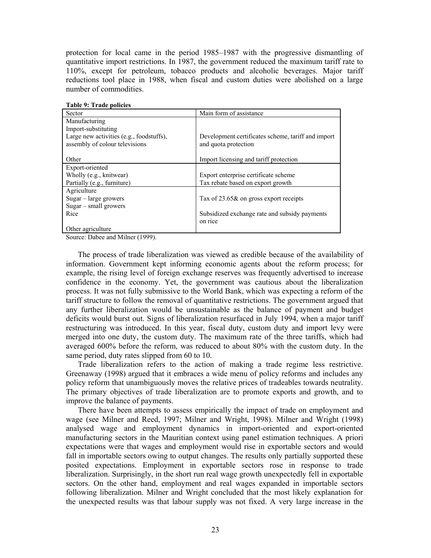protection for local came in the period 1985–1987 with the progressive dismantling of quantitative import restrictions. In 1987, the government reduced the maximum tariff rate to 110%, except for petroleum, tobacco products and alcoholic beverages. Major tariff reductions tool place in 1988, when fiscal and custom duties were abolished on a large number of commodities.

| Table 9: Trade policies                  |                                                    |
|------------------------------------------|----------------------------------------------------|
| Sector                                   | Main form of assistance                            |
| Manufacturing                            |                                                    |
| Import-substituting                      |                                                    |
| Large new activities (e.g., foodstuffs), | Development certificates scheme, tariff and import |
| assembly of colour televisions           | and quota protection                               |
|                                          |                                                    |
| Other                                    | Import licensing and tariff protection             |
| Export-oriented                          |                                                    |
| Wholly (e.g., knitwear)                  | Export enterprise certificate scheme               |
| Partially (e.g., furniture)              | Tax rebate based on export growth                  |
| Agriculture                              |                                                    |
| $Sugar - large grows$                    | Tax of 23.65& on gross export receipts             |
| $Sugar - small growers$                  |                                                    |
| Rice                                     | Subsidized exchange rate and subsidy payments      |
|                                          | on rice                                            |
| Other agriculture                        |                                                    |

**Table 9: Trade policies** 

Source: Dabee and Milner (1999).

 The process of trade liberalization was viewed as credible because of the availability of information. Government kept informing economic agents about the reform process; for example, the rising level of foreign exchange reserves was frequently advertised to increase confidence in the economy. Yet, the government was cautious about the liberalization process. It was not fully submissive to the World Bank, which was expecting a reform of the tariff structure to follow the removal of quantitative restrictions. The government argued that any further liberalization would be unsustainable as the balance of payment and budget deficits would burst out. Signs of liberalization resurfaced in July 1994, when a major tariff restructuring was introduced. In this year, fiscal duty, custom duty and import levy were merged into one duty, the custom duty. The maximum rate of the three tariffs, which had averaged 600% before the reform, was reduced to about 80% with the custom duty. In the same period, duty rates slipped from 60 to 10.

 Trade liberalization refers to the action of making a trade regime less restrictive. Greenaway (1998) argued that it embraces a wide menu of policy reforms and includes any policy reform that unambiguously moves the relative prices of tradeables towards neutrality. The primary objectives of trade liberalization are to promote exports and growth, and to improve the balance of payments.

 There have been attempts to assess empirically the impact of trade on employment and wage (see Milner and Reed, 1997; Milner and Wright, 1998). Milner and Wright (1998) analysed wage and employment dynamics in import-oriented and export-oriented manufacturing sectors in the Mauritian context using panel estimation techniques. A priori expectations were that wages and employment would rise in exportable sectors and would fall in importable sectors owing to output changes. The results only partially supported these posited expectations. Employment in exportable sectors rose in response to trade liberalization. Surprisingly, in the short run real wage growth unexpectedly fell in exportable sectors. On the other hand, employment and real wages expanded in importable sectors following liberalization. Milner and Wright concluded that the most likely explanation for the unexpected results was that labour supply was not fixed. A very large increase in the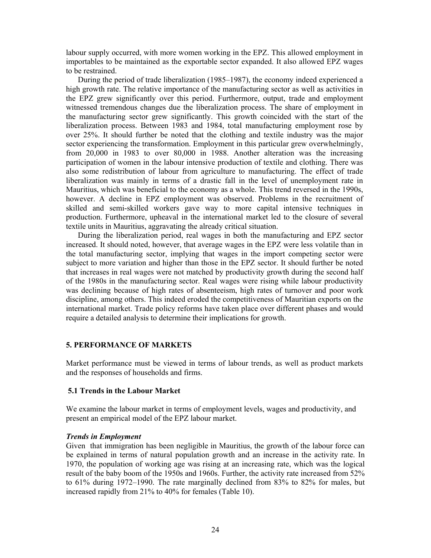labour supply occurred, with more women working in the EPZ. This allowed employment in importables to be maintained as the exportable sector expanded. It also allowed EPZ wages to be restrained.

 During the period of trade liberalization (1985–1987), the economy indeed experienced a high growth rate. The relative importance of the manufacturing sector as well as activities in the EPZ grew significantly over this period. Furthermore, output, trade and employment witnessed tremendous changes due the liberalization process. The share of employment in the manufacturing sector grew significantly. This growth coincided with the start of the liberalization process. Between 1983 and 1984, total manufacturing employment rose by over 25%. It should further be noted that the clothing and textile industry was the major sector experiencing the transformation. Employment in this particular grew overwhelmingly, from 20,000 in 1983 to over 80,000 in 1988. Another alteration was the increasing participation of women in the labour intensive production of textile and clothing. There was also some redistribution of labour from agriculture to manufacturing. The effect of trade liberalization was mainly in terms of a drastic fall in the level of unemployment rate in Mauritius, which was beneficial to the economy as a whole. This trend reversed in the 1990s, however. A decline in EPZ employment was observed. Problems in the recruitment of skilled and semi-skilled workers gave way to more capital intensive techniques in production. Furthermore, upheaval in the international market led to the closure of several textile units in Mauritius, aggravating the already critical situation.

 During the liberalization period, real wages in both the manufacturing and EPZ sector increased. It should noted, however, that average wages in the EPZ were less volatile than in the total manufacturing sector, implying that wages in the import competing sector were subject to more variation and higher than those in the EPZ sector. It should further be noted that increases in real wages were not matched by productivity growth during the second half of the 1980s in the manufacturing sector. Real wages were rising while labour productivity was declining because of high rates of absenteeism, high rates of turnover and poor work discipline, among others. This indeed eroded the competitiveness of Mauritian exports on the international market. Trade policy reforms have taken place over different phases and would require a detailed analysis to determine their implications for growth.

## **5. PERFORMANCE OF MARKETS**

Market performance must be viewed in terms of labour trends, as well as product markets and the responses of households and firms.

## **5.1 Trends in the Labour Market**

We examine the labour market in terms of employment levels, wages and productivity, and present an empirical model of the EPZ labour market.

## *Trends in Employment*

Given that immigration has been negligible in Mauritius, the growth of the labour force can be explained in terms of natural population growth and an increase in the activity rate. In 1970, the population of working age was rising at an increasing rate, which was the logical result of the baby boom of the 1950s and 1960s. Further, the activity rate increased from 52% to 61% during 1972–1990. The rate marginally declined from 83% to 82% for males, but increased rapidly from 21% to 40% for females (Table 10).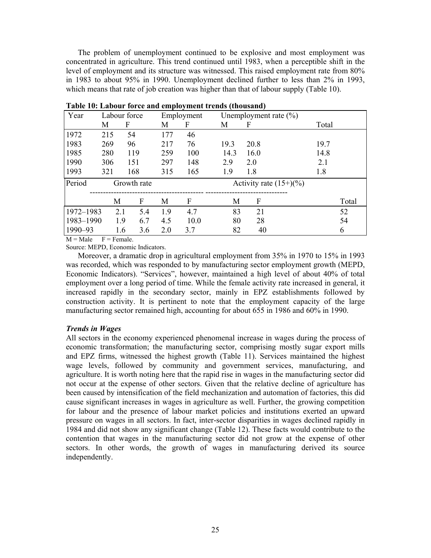The problem of unemployment continued to be explosive and most employment was concentrated in agriculture. This trend continued until 1983, when a perceptible shift in the level of employment and its structure was witnessed. This raised employment rate from 80% in 1983 to about 95% in 1990. Unemployment declined further to less than 2% in 1993, which means that rate of job creation was higher than that of labour supply (Table 10).

| Year      |     | Labour force |     | Employment |      | Unemployment rate $(\% )$ |       |
|-----------|-----|--------------|-----|------------|------|---------------------------|-------|
|           | М   | F            | М   | F          | М    | F                         | Total |
| 1972      | 215 | 54           | 177 | 46         |      |                           |       |
| 1983      | 269 | 96           | 217 | 76         | 19.3 | 20.8                      | 19.7  |
| 1985      | 280 | 119          | 259 | 100        | 14.3 | 16.0                      | 14.8  |
| 1990      | 306 | 151          | 297 | 148        | 2.9  | 2.0                       | 2.1   |
| 1993      | 321 | 168          | 315 | 165        | 1.9  | 1.8                       | 1.8   |
| Period    |     | Growth rate  |     |            |      | Activity rate $(15+)(\%)$ |       |
|           | М   | F            | M   | F          | М    | F                         | Total |
| 1972-1983 | 2.1 | 5.4          | 19  | 4.7        | 83   | 21                        | 52    |
| 1983-1990 | 1.9 | 6.7          | 4.5 | 10.0       | 80   | 28                        | 54    |
| 1990-93   |     | 1.6<br>3.6   | 2.0 | 3.7        | 82   | 40                        | 6     |

**Table 10: Labour force and employment trends (thousand)** 

 $M = Male$   $F = Female$ .

Source: MEPD, Economic Indicators.

 Moreover, a dramatic drop in agricultural employment from 35% in 1970 to 15% in 1993 was recorded, which was responded to by manufacturing sector employment growth (MEPD, Economic Indicators). "Services", however, maintained a high level of about 40% of total employment over a long period of time. While the female activity rate increased in general, it increased rapidly in the secondary sector, mainly in EPZ establishments followed by construction activity. It is pertinent to note that the employment capacity of the large manufacturing sector remained high, accounting for about 655 in 1986 and 60% in 1990.

## *Trends in Wages*

All sectors in the economy experienced phenomenal increase in wages during the process of economic transformation; the manufacturing sector, comprising mostly sugar export mills and EPZ firms, witnessed the highest growth (Table 11). Services maintained the highest wage levels, followed by community and government services, manufacturing, and agriculture. It is worth noting here that the rapid rise in wages in the manufacturing sector did not occur at the expense of other sectors. Given that the relative decline of agriculture has been caused by intensification of the field mechanization and automation of factories, this did cause significant increases in wages in agriculture as well. Further, the growing competition for labour and the presence of labour market policies and institutions exerted an upward pressure on wages in all sectors. In fact, inter-sector disparities in wages declined rapidly in 1984 and did not show any significant change (Table 12). These facts would contribute to the contention that wages in the manufacturing sector did not grow at the expense of other sectors. In other words, the growth of wages in manufacturing derived its source independently.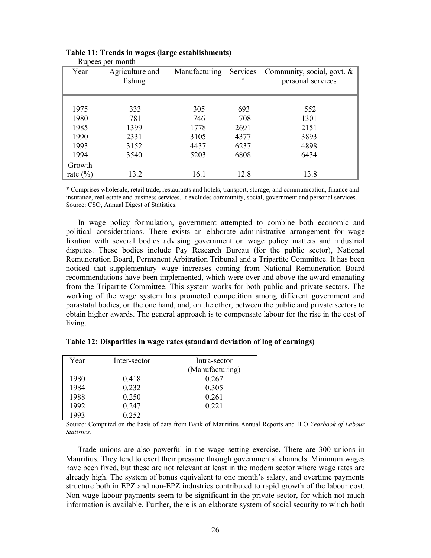| Year         | Agriculture and<br>fishing | Manufacturing | ∗    | Services Community, social, govt. $\&$<br>personal services |
|--------------|----------------------------|---------------|------|-------------------------------------------------------------|
|              |                            |               |      |                                                             |
| 1975         | 333                        | 305           | 693  | 552                                                         |
| 1980         | 781                        | 746           | 1708 | 1301                                                        |
| 1985         | 1399                       | 1778          | 2691 | 2151                                                        |
| 1990         | 2331                       | 3105          | 4377 | 3893                                                        |
| 1993         | 3152                       | 4437          | 6237 | 4898                                                        |
| 1994         | 3540                       | 5203          | 6808 | 6434                                                        |
| Growth       |                            |               |      |                                                             |
| rate $(\% )$ | 13.2                       | 16.1          | 12.8 | 13.8                                                        |

#### **Table 11: Trends in wages (large establishments)**  Rupees per month

\* Comprises wholesale, retail trade, restaurants and hotels, transport, storage, and communication, finance and insurance, real estate and business services. It excludes community, social, government and personal services. Source: CSO, Annual Digest of Statistics.

 In wage policy formulation, government attempted to combine both economic and political considerations. There exists an elaborate administrative arrangement for wage fixation with several bodies advising government on wage policy matters and industrial disputes. These bodies include Pay Research Bureau (for the public sector), National Remuneration Board, Permanent Arbitration Tribunal and a Tripartite Committee. It has been noticed that supplementary wage increases coming from National Remuneration Board recommendations have been implemented, which were over and above the award emanating from the Tripartite Committee. This system works for both public and private sectors. The working of the wage system has promoted competition among different government and parastatal bodies, on the one hand, and, on the other, between the public and private sectors to obtain higher awards. The general approach is to compensate labour for the rise in the cost of living.

| Year | Inter-sector | Intra-sector    |
|------|--------------|-----------------|
|      |              | (Manufacturing) |
| 1980 | 0.418        | 0.267           |
| 1984 | 0 2 3 2      | 0.305           |
| 1988 | 0.250        | 0.261           |
| 1992 | 0.247        | 0 2 2 1         |
| 1993 | 0.252        |                 |

**Table 12: Disparities in wage rates (standard deviation of log of earnings)** 

Source: Computed on the basis of data from Bank of Mauritius Annual Reports and ILO *Yearbook of Labour Statistics*.

 Trade unions are also powerful in the wage setting exercise. There are 300 unions in Mauritius. They tend to exert their pressure through governmental channels. Minimum wages have been fixed, but these are not relevant at least in the modern sector where wage rates are already high. The system of bonus equivalent to one month's salary, and overtime payments structure both in EPZ and non-EPZ industries contributed to rapid growth of the labour cost. Non-wage labour payments seem to be significant in the private sector, for which not much information is available. Further, there is an elaborate system of social security to which both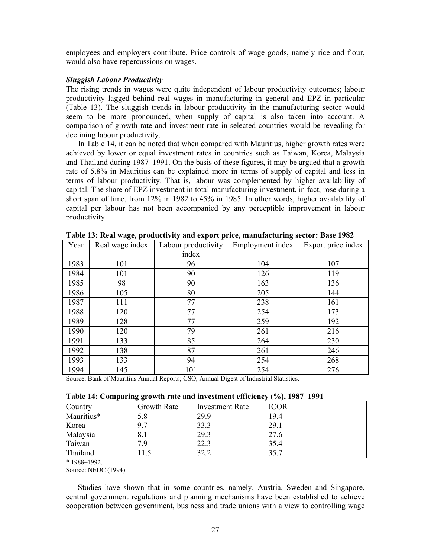employees and employers contribute. Price controls of wage goods, namely rice and flour, would also have repercussions on wages.

## *Sluggish Labour Productivity*

The rising trends in wages were quite independent of labour productivity outcomes; labour productivity lagged behind real wages in manufacturing in general and EPZ in particular (Table 13). The sluggish trends in labour productivity in the manufacturing sector would seem to be more pronounced, when supply of capital is also taken into account. A comparison of growth rate and investment rate in selected countries would be revealing for declining labour productivity.

 In Table 14, it can be noted that when compared with Mauritius, higher growth rates were achieved by lower or equal investment rates in countries such as Taiwan, Korea, Malaysia and Thailand during 1987–1991. On the basis of these figures, it may be argued that a growth rate of 5.8% in Mauritius can be explained more in terms of supply of capital and less in terms of labour productivity. That is, labour was complemented by higher availability of capital. The share of EPZ investment in total manufacturing investment, in fact, rose during a short span of time, from 12% in 1982 to 45% in 1985. In other words, higher availability of capital per labour has not been accompanied by any perceptible improvement in labour productivity.

| Year | Real wage index | Labour productivity | Employment index | Export price index |
|------|-----------------|---------------------|------------------|--------------------|
|      |                 | index               |                  |                    |
| 1983 | 101             | 96                  | 104              | 107                |
| 1984 | 101             | 90                  | 126              | 119                |
| 1985 | 98              | 90                  | 163              | 136                |
| 1986 | 105             | 80                  | 205              | 144                |
| 1987 | 111             | 77                  | 238              | 161                |
| 1988 | 120             | 77                  | 254              | 173                |
| 1989 | 128             | 77                  | 259              | 192                |
| 1990 | 120             | 79                  | 261              | 216                |
| 1991 | 133             | 85                  | 264              | 230                |
| 1992 | 138             | 87                  | 261              | 246                |
| 1993 | 133             | 94                  | 254              | 268                |
| 1994 | 145             | 101                 | 254              | 276                |

**Table 13: Real wage, productivity and export price, manufacturing sector: Base 1982** 

Source: Bank of Mauritius Annual Reports; CSO, Annual Digest of Industrial Statistics.

| Table 14: Comparing growth rate and investment efficiency (%), 1987–1991 |  |  |  |  |
|--------------------------------------------------------------------------|--|--|--|--|
|                                                                          |  |  |  |  |

| Country    | Growth Rate | Investment Rate | <b>ICOR</b> |
|------------|-------------|-----------------|-------------|
| Mauritius* | 5.8         | 29.9            | 19.4        |
| Korea      | 97          | 33.3            | 29.1        |
| Malaysia   | 8.1         | 29.3            | 27.6        |
| Taiwan     | 79          | 22.3            | 35.4        |
| Thailand   | 1.5         | 32.2            | 35.7        |

\* 1988–1992.

Source: NEDC (1994).

 Studies have shown that in some countries, namely, Austria, Sweden and Singapore, central government regulations and planning mechanisms have been established to achieve cooperation between government, business and trade unions with a view to controlling wage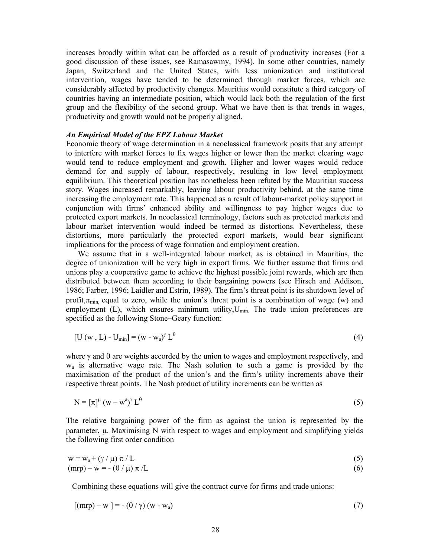increases broadly within what can be afforded as a result of productivity increases (For a good discussion of these issues, see Ramasawmy, 1994). In some other countries, namely Japan, Switzerland and the United States, with less unionization and institutional intervention, wages have tended to be determined through market forces, which are considerably affected by productivity changes. Mauritius would constitute a third category of countries having an intermediate position, which would lack both the regulation of the first group and the flexibility of the second group. What we have then is that trends in wages, productivity and growth would not be properly aligned.

#### *An Empirical Model of the EPZ Labour Market*

Economic theory of wage determination in a neoclassical framework posits that any attempt to interfere with market forces to fix wages higher or lower than the market clearing wage would tend to reduce employment and growth. Higher and lower wages would reduce demand for and supply of labour, respectively, resulting in low level employment equilibrium. This theoretical position has nonetheless been refuted by the Mauritian success story. Wages increased remarkably, leaving labour productivity behind, at the same time increasing the employment rate. This happened as a result of labour-market policy support in conjunction with firms' enhanced ability and willingness to pay higher wages due to protected export markets. In neoclassical terminology, factors such as protected markets and labour market intervention would indeed be termed as distortions. Nevertheless, these distortions, more particularly the protected export markets, would bear significant implications for the process of wage formation and employment creation.

 We assume that in a well-integrated labour market, as is obtained in Mauritius, the degree of unionization will be very high in export firms. We further assume that firms and unions play a cooperative game to achieve the highest possible joint rewards, which are then distributed between them according to their bargaining powers (see Hirsch and Addison, 1986; Farber, 1996; Laidler and Estrin, 1989). The firm's threat point is its shutdown level of profit, $\pi_{\min}$  equal to zero, while the union's threat point is a combination of wage (w) and employment (L), which ensures minimum utility, $U_{min}$ . The trade union preferences are specified as the following Stone–Geary function:

$$
[\mathbf{U}(\mathbf{w}, \mathbf{L}) - \mathbf{U}_{\text{min}}] = (\mathbf{w} - \mathbf{w}_a)^{\gamma} \mathbf{L}^{\theta}
$$
\n(4)

where  $\gamma$  and  $\theta$  are weights accorded by the union to wages and employment respectively, and wa is alternative wage rate. The Nash solution to such a game is provided by the maximisation of the product of the union's and the firm's utility increments above their respective threat points. The Nash product of utility increments can be written as

$$
N = \left[\pi\right]^{\mu} (w - w^a)^{\gamma} L^{\theta} \tag{5}
$$

The relative bargaining power of the firm as against the union is represented by the parameter,  $\mu$ . Maximising N with respect to wages and employment and simplifying yields the following first order condition

$$
w = w_a + (\gamma / \mu) \pi / L \tag{5}
$$

 $(\text{mrp}) - w = -(\theta / \mu) \pi /L$  (6)

Combining these equations will give the contract curve for firms and trade unions:

$$
[(\text{mrp}) - w] = -(\theta / \gamma) (w - w_a)
$$
\n(7)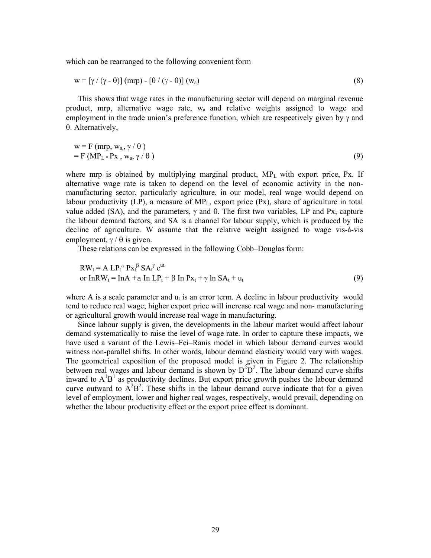which can be rearranged to the following convenient form

$$
w = \left[\gamma / (\gamma - \theta)\right] (m r p) - \left[\theta / (\gamma - \theta)\right] (w_a)
$$
\n(8)

 This shows that wage rates in the manufacturing sector will depend on marginal revenue product, mrp, alternative wage rate, wa and relative weights assigned to wage and employment in the trade union's preference function, which are respectively given by  $\gamma$  and θ. Alternatively,

$$
w = F (mrp, wa, \gamma / \theta) = F (MPL * Px, wa, \gamma / \theta)
$$
\n(9)

where mrp is obtained by multiplying marginal product, MP<sub>L</sub> with export price, Px. If alternative wage rate is taken to depend on the level of economic activity in the nonmanufacturing sector, particularly agriculture, in our model, real wage would depend on labour productivity (LP), a measure of  $MP_L$ , export price (Px), share of agriculture in total value added (SA), and the parameters,  $γ$  and  $θ$ . The first two variables, LP and Px, capture the labour demand factors, and SA is a channel for labour supply, which is produced by the decline of agriculture. W assume that the relative weight assigned to wage vis-à-vis employment,  $\gamma / \theta$  is given.

These relations can be expressed in the following Cobb–Douglas form:

$$
RWt = A LPta Pxtβ SAtγ eut
$$
  
or InRW<sub>t</sub> = InA +a In LP<sub>t</sub> + β In Px<sub>t</sub> + γ In SA<sub>t</sub> + u<sub>t</sub> (9)

where A is a scale parameter and  $u_t$  is an error term. A decline in labour productivity would tend to reduce real wage; higher export price will increase real wage and non- manufacturing or agricultural growth would increase real wage in manufacturing.

 Since labour supply is given, the developments in the labour market would affect labour demand systematically to raise the level of wage rate. In order to capture these impacts, we have used a variant of the Lewis–Fei–Ranis model in which labour demand curves would witness non-parallel shifts. In other words, labour demand elasticity would vary with wages. The geometrical exposition of the proposed model is given in Figure 2. The relationship between real wages and labour demand is shown by  $D^2D^2$ . The labour demand curve shifts inward to  $A^1B^1$  as productivity declines. But export price growth pushes the labour demand curve outward to  $A^2B^2$ . These shifts in the labour demand curve indicate that for a given level of employment, lower and higher real wages, respectively, would prevail, depending on whether the labour productivity effect or the export price effect is dominant.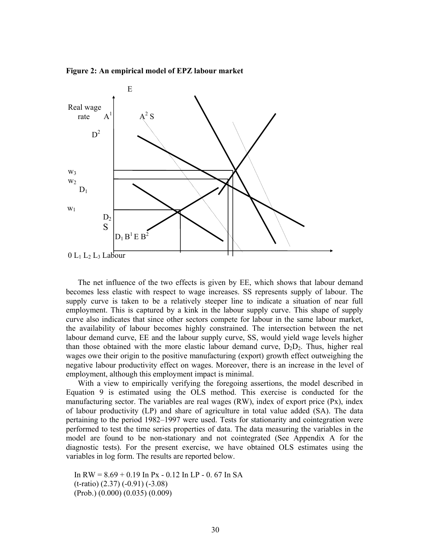**Figure 2: An empirical model of EPZ labour market** 



 The net influence of the two effects is given by EE, which shows that labour demand becomes less elastic with respect to wage increases. SS represents supply of labour. The supply curve is taken to be a relatively steeper line to indicate a situation of near full employment. This is captured by a kink in the labour supply curve. This shape of supply curve also indicates that since other sectors compete for labour in the same labour market, the availability of labour becomes highly constrained. The intersection between the net labour demand curve, EE and the labour supply curve, SS, would yield wage levels higher than those obtained with the more elastic labour demand curve,  $D_2D_2$ . Thus, higher real wages owe their origin to the positive manufacturing (export) growth effect outweighing the negative labour productivity effect on wages. Moreover, there is an increase in the level of employment, although this employment impact is minimal.

 With a view to empirically verifying the foregoing assertions, the model described in Equation 9 is estimated using the OLS method. This exercise is conducted for the manufacturing sector. The variables are real wages (RW), index of export price (Px), index of labour productivity (LP) and share of agriculture in total value added (SA). The data pertaining to the period 1982–1997 were used. Tests for stationarity and cointegration were performed to test the time series properties of data. The data measuring the variables in the model are found to be non-stationary and not cointegrated (See Appendix A for the diagnostic tests). For the present exercise, we have obtained OLS estimates using the variables in log form. The results are reported below.

In RW =  $8.69 + 0.19$  In Px - 0.12 In LP - 0.67 In SA (t-ratio) (2.37) (-0.91) (-3.08) (Prob.) (0.000) (0.035) (0.009)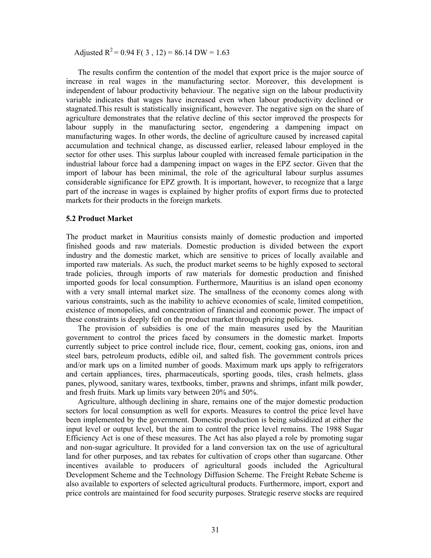Adjusted  $R^2 = 0.94$  F( 3, 12) = 86.14 DW = 1.63

 The results confirm the contention of the model that export price is the major source of increase in real wages in the manufacturing sector. Moreover, this development is independent of labour productivity behaviour. The negative sign on the labour productivity variable indicates that wages have increased even when labour productivity declined or stagnated.This result is statistically insignificant, however. The negative sign on the share of agriculture demonstrates that the relative decline of this sector improved the prospects for labour supply in the manufacturing sector, engendering a dampening impact on manufacturing wages. In other words, the decline of agriculture caused by increased capital accumulation and technical change, as discussed earlier, released labour employed in the sector for other uses. This surplus labour coupled with increased female participation in the industrial labour force had a dampening impact on wages in the EPZ sector. Given that the import of labour has been minimal, the role of the agricultural labour surplus assumes considerable significance for EPZ growth. It is important, however, to recognize that a large part of the increase in wages is explained by higher profits of export firms due to protected markets for their products in the foreign markets.

#### **5.2 Product Market**

The product market in Mauritius consists mainly of domestic production and imported finished goods and raw materials. Domestic production is divided between the export industry and the domestic market, which are sensitive to prices of locally available and imported raw materials. As such, the product market seems to be highly exposed to sectoral trade policies, through imports of raw materials for domestic production and finished imported goods for local consumption. Furthermore, Mauritius is an island open economy with a very small internal market size. The smallness of the economy comes along with various constraints, such as the inability to achieve economies of scale, limited competition, existence of monopolies, and concentration of financial and economic power. The impact of these constraints is deeply felt on the product market through pricing policies.

 The provision of subsidies is one of the main measures used by the Mauritian government to control the prices faced by consumers in the domestic market. Imports currently subject to price control include rice, flour, cement, cooking gas, onions, iron and steel bars, petroleum products, edible oil, and salted fish. The government controls prices and/or mark ups on a limited number of goods. Maximum mark ups apply to refrigerators and certain appliances, tires, pharmaceuticals, sporting goods, tiles, crash helmets, glass panes, plywood, sanitary wares, textbooks, timber, prawns and shrimps, infant milk powder, and fresh fruits. Mark up limits vary between 20% and 50%.

 Agriculture, although declining in share, remains one of the major domestic production sectors for local consumption as well for exports. Measures to control the price level have been implemented by the government. Domestic production is being subsidized at either the input level or output level, but the aim to control the price level remains. The 1988 Sugar Efficiency Act is one of these measures. The Act has also played a role by promoting sugar and non-sugar agriculture. It provided for a land conversion tax on the use of agricultural land for other purposes, and tax rebates for cultivation of crops other than sugarcane. Other incentives available to producers of agricultural goods included the Agricultural Development Scheme and the Technology Diffusion Scheme. The Freight Rebate Scheme is also available to exporters of selected agricultural products. Furthermore, import, export and price controls are maintained for food security purposes. Strategic reserve stocks are required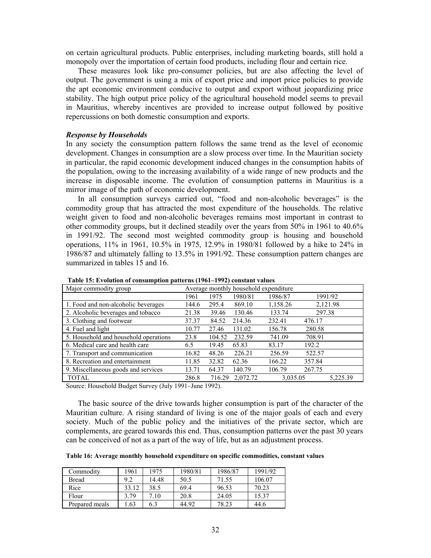on certain agricultural products. Public enterprises, including marketing boards, still hold a monopoly over the importation of certain food products, including flour and certain rice.

 These measures look like pro-consumer policies, but are also affecting the level of output. The government is using a mix of export price and import price policies to provide the apt economic environment conducive to output and export without jeopardizing price stability. The high output price policy of the agricultural household model seems to prevail in Mauritius, whereby incentives are provided to increase output followed by positive repercussions on both domestic consumption and exports.

#### *Response by Households*

In any society the consumption pattern follows the same trend as the level of economic development. Changes in consumption are a slow process over time. In the Mauritian society in particular, the rapid economic development induced changes in the consumption habits of the population, owing to the increasing availability of a wide range of new products and the increase in disposable income. The evolution of consumption patterns in Mauritius is a mirror image of the path of economic development.

 In all consumption surveys carried out, "food and non-alcoholic beverages" is the commodity group that has attracted the most expenditure of the households. The relative weight given to food and non-alcoholic beverages remains most important in contrast to other commodity groups, but it declined steadily over the years from 50% in 1961 to 40.6% in 1991/92. The second most weighted commodity group is housing and household operations, 11% in 1961, 10.5% in 1975, 12.9% in 1980/81 followed by a hike to 24% in 1986/87 and ultimately falling to 13.5% in 1991/92. These consumption pattern changes are summarized in tables 15 and 16.

| There is the control of consumption patterns (1991–1994) constant values |                                       |        |          |          |          |          |  |  |
|--------------------------------------------------------------------------|---------------------------------------|--------|----------|----------|----------|----------|--|--|
| Major commodity group                                                    | Average monthly household expenditure |        |          |          |          |          |  |  |
|                                                                          | 1961                                  | 1975   | 1980/81  | 1986/87  | 1991/92  |          |  |  |
| 1. Food and non-alcoholic beverages                                      | 144.6                                 | 295.4  | 869.10   | 1,158.26 | 2,121.98 |          |  |  |
| 2. Alcoholic beverages and tobacco                                       | 21.38                                 | 39.46  | 130.46   | 133.74   | 297.38   |          |  |  |
| 3. Clothing and footwear                                                 | 37.37                                 | 84.52  | 214.36   | 232.41   | 476.17   |          |  |  |
| 4. Fuel and light                                                        | 10.77                                 | 27.46  | 131.02   | 156.78   | 280.58   |          |  |  |
| 5. Household and household operations                                    | 23.8                                  | 104.52 | 232.59   | 741.09   | 708.91   |          |  |  |
| 6. Medical care and health care                                          | 6.5                                   | 19.45  | 65.83    | 83.17    | 192.2    |          |  |  |
| 7. Transport and communication                                           | 16.82                                 | 48.26  | 226.21   | 256.59   | 522.57   |          |  |  |
| 8. Recreation and entertainment                                          | 11.85                                 | 32.82  | 62.36    | 166.22   | 357.84   |          |  |  |
| 9. Miscellaneous goods and services                                      | 13.71                                 | 64.37  | 140.79   | 106.79   | 267.75   |          |  |  |
| <b>TOTAL</b>                                                             | 286.8                                 | 716.29 | 2,072.72 | 3,035.05 |          | 5,225.39 |  |  |

 **Table 15: Evolution of consumption patterns (1961–1992) constant values**

Source: Household Budget Survey (July 1991–June 1992).

 The basic source of the drive towards higher consumption is part of the character of the Mauritian culture. A rising standard of living is one of the major goals of each and every society. Much of the public policy and the initiatives of the private sector, which are complements, are geared towards this end. Thus, consumption patterns over the past 30 years can be conceived of not as a part of the way of life, but as an adjustment process.

**Table 16: Average monthly household expenditure on specific commodities, constant values**

| Commodity      | 1961  | 1975  | 1980/81 | 1986/87 | 1991/92 |
|----------------|-------|-------|---------|---------|---------|
| Bread          | 9.2   | 14.48 | 50.5    | 71.55   | 106.07  |
| Rice           | 33.12 | 38.5  | 69.4    | 96.53   | 70.23   |
| Flour          | 3.79  | 7.10  | 20.8    | 24.05   | 15.37   |
| Prepared meals | .63   | 6.3   | 44.92   | 78.23   | 44.6    |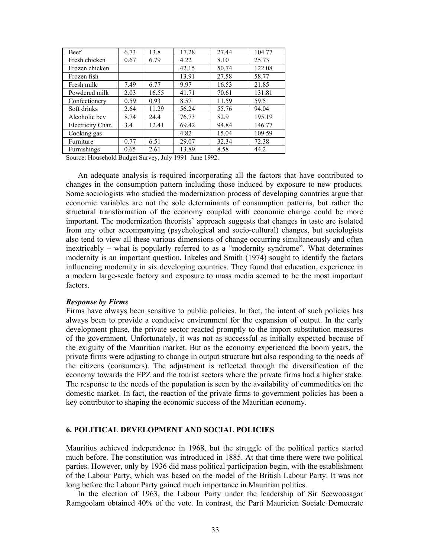| Beef              | 6.73 | 13.8  | 17.28 | 27.44 | 104.77 |
|-------------------|------|-------|-------|-------|--------|
| Fresh chicken     | 0.67 | 6.79  | 4.22  | 8.10  | 25.73  |
| Frozen chicken    |      |       | 42.15 | 50.74 | 122.08 |
| Frozen fish       |      |       | 13.91 | 27.58 | 58.77  |
| Fresh milk        | 7.49 | 6.77  | 9.97  | 16.53 | 21.85  |
| Powdered milk     | 2.03 | 16.55 | 41.71 | 70.61 | 131.81 |
| Confectionery     | 0.59 | 0.93  | 8.57  | 11.59 | 59.5   |
| Soft drinks       | 2.64 | 11.29 | 56.24 | 55.76 | 94.04  |
| Alcoholic bev     | 8.74 | 24.4  | 76.73 | 82.9  | 195.19 |
| Electricity Char. | 3.4  | 12.41 | 69.42 | 94.84 | 146.77 |
| Cooking gas       |      |       | 4.82  | 15.04 | 109.59 |
| Furniture         | 0.77 | 6.51  | 29.07 | 32.34 | 72.38  |
| Furnishings       | 0.65 | 2.61  | 13.89 | 8.58  | 44.2   |

Source: Household Budget Survey, July 1991–June 1992.

 An adequate analysis is required incorporating all the factors that have contributed to changes in the consumption pattern including those induced by exposure to new products. Some sociologists who studied the modernization process of developing countries argue that economic variables are not the sole determinants of consumption patterns, but rather the structural transformation of the economy coupled with economic change could be more important. The modernization theorists' approach suggests that changes in taste are isolated from any other accompanying (psychological and socio-cultural) changes, but sociologists also tend to view all these various dimensions of change occurring simultaneously and often inextricably – what is popularly referred to as a "modernity syndrome". What determines modernity is an important question. Inkeles and Smith (1974) sought to identify the factors influencing modernity in six developing countries. They found that education, experience in a modern large-scale factory and exposure to mass media seemed to be the most important factors.

## *Response by Firms*

Firms have always been sensitive to public policies. In fact, the intent of such policies has always been to provide a conducive environment for the expansion of output. In the early development phase, the private sector reacted promptly to the import substitution measures of the government. Unfortunately, it was not as successful as initially expected because of the exiguity of the Mauritian market. But as the economy experienced the boom years, the private firms were adjusting to change in output structure but also responding to the needs of the citizens (consumers). The adjustment is reflected through the diversification of the economy towards the EPZ and the tourist sectors where the private firms had a higher stake. The response to the needs of the population is seen by the availability of commodities on the domestic market. In fact, the reaction of the private firms to government policies has been a key contributor to shaping the economic success of the Mauritian economy.

## **6. POLITICAL DEVELOPMENT AND SOCIAL POLICIES**

Mauritius achieved independence in 1968, but the struggle of the political parties started much before. The constitution was introduced in 1885. At that time there were two political parties. However, only by 1936 did mass political participation begin, with the establishment of the Labour Party, which was based on the model of the British Labour Party. It was not long before the Labour Party gained much importance in Mauritian politics.

 In the election of 1963, the Labour Party under the leadership of Sir Seewoosagar Ramgoolam obtained 40% of the vote. In contrast, the Parti Mauricien Sociale Democrate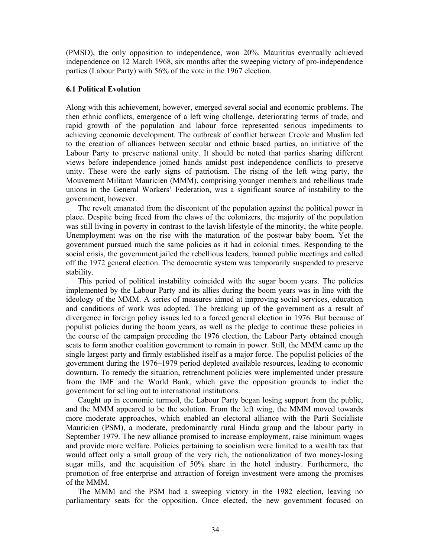(PMSD), the only opposition to independence, won 20%. Mauritius eventually achieved independence on 12 March 1968, six months after the sweeping victory of pro-independence parties (Labour Party) with 56% of the vote in the 1967 election.

#### **6.1 Political Evolution**

Along with this achievement, however, emerged several social and economic problems. The then ethnic conflicts, emergence of a left wing challenge, deteriorating terms of trade, and rapid growth of the population and labour force represented serious impediments to achieving economic development. The outbreak of conflict between Creole and Muslim led to the creation of alliances between secular and ethnic based parties, an initiative of the Labour Party to preserve national unity. It should be noted that parties sharing different views before independence joined hands amidst post independence conflicts to preserve unity. These were the early signs of patriotism. The rising of the left wing party, the Mouvement Militant Mauricien (MMM), comprising younger members and rebellious trade unions in the General Workers' Federation, was a significant source of instability to the government, however.

 The revolt emanated from the discontent of the population against the political power in place. Despite being freed from the claws of the colonizers, the majority of the population was still living in poverty in contrast to the lavish lifestyle of the minority, the white people. Unemployment was on the rise with the maturation of the postwar baby boom. Yet the government pursued much the same policies as it had in colonial times. Responding to the social crisis, the government jailed the rebellious leaders, banned public meetings and called off the 1972 general election. The democratic system was temporarily suspended to preserve stability.

 This period of political instability coincided with the sugar boom years. The policies implemented by the Labour Party and its allies during the boom years was in line with the ideology of the MMM. A series of measures aimed at improving social services, education and conditions of work was adopted. The breaking up of the government as a result of divergence in foreign policy issues led to a forced general election in 1976. But because of populist policies during the boom years, as well as the pledge to continue these policies in the course of the campaign preceding the 1976 election, the Labour Party obtained enough seats to form another coalition government to remain in power. Still, the MMM came up the single largest party and firmly established itself as a major force. The populist policies of the government during the 1976–1979 period depleted available resources, leading to economic downturn. To remedy the situation, retrenchment policies were implemented under pressure from the IMF and the World Bank, which gave the opposition grounds to indict the government for selling out to international institutions.

 Caught up in economic turmoil, the Labour Party began losing support from the public, and the MMM appeared to be the solution. From the left wing, the MMM moved towards more moderate approaches, which enabled an electoral alliance with the Parti Socialiste Mauricien (PSM), a moderate, predominantly rural Hindu group and the labour party in September 1979. The new alliance promised to increase employment, raise minimum wages and provide more welfare. Policies pertaining to socialism were limited to a wealth tax that would affect only a small group of the very rich, the nationalization of two money-losing sugar mills, and the acquisition of 50% share in the hotel industry. Furthermore, the promotion of free enterprise and attraction of foreign investment were among the promises of the MMM.

 The MMM and the PSM had a sweeping victory in the 1982 election, leaving no parliamentary seats for the opposition. Once elected, the new government focused on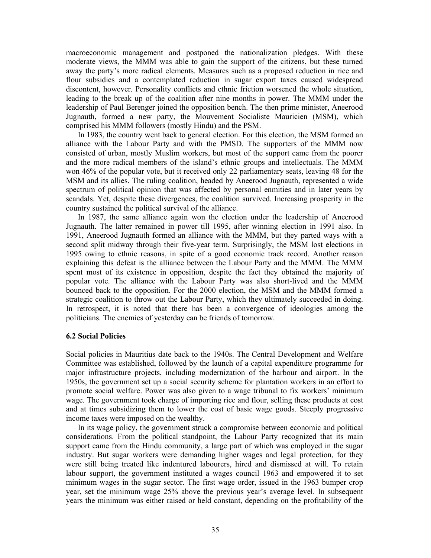macroeconomic management and postponed the nationalization pledges. With these moderate views, the MMM was able to gain the support of the citizens, but these turned away the party's more radical elements. Measures such as a proposed reduction in rice and flour subsidies and a contemplated reduction in sugar export taxes caused widespread discontent, however. Personality conflicts and ethnic friction worsened the whole situation, leading to the break up of the coalition after nine months in power. The MMM under the leadership of Paul Berenger joined the opposition bench. The then prime minister, Aneerood Jugnauth, formed a new party, the Mouvement Socialiste Mauricien (MSM), which comprised his MMM followers (mostly Hindu) and the PSM.

 In 1983, the country went back to general election. For this election, the MSM formed an alliance with the Labour Party and with the PMSD. The supporters of the MMM now consisted of urban, mostly Muslim workers, but most of the support came from the poorer and the more radical members of the island's ethnic groups and intellectuals. The MMM won 46% of the popular vote, but it received only 22 parliamentary seats, leaving 48 for the MSM and its allies. The ruling coalition, headed by Aneerood Jugnauth, represented a wide spectrum of political opinion that was affected by personal enmities and in later years by scandals. Yet, despite these divergences, the coalition survived. Increasing prosperity in the country sustained the political survival of the alliance.

 In 1987, the same alliance again won the election under the leadership of Aneerood Jugnauth. The latter remained in power till 1995, after winning election in 1991 also. In 1991, Aneerood Jugnauth formed an alliance with the MMM, but they parted ways with a second split midway through their five-year term. Surprisingly, the MSM lost elections in 1995 owing to ethnic reasons, in spite of a good economic track record. Another reason explaining this defeat is the alliance between the Labour Party and the MMM. The MMM spent most of its existence in opposition, despite the fact they obtained the majority of popular vote. The alliance with the Labour Party was also short-lived and the MMM bounced back to the opposition. For the 2000 election, the MSM and the MMM formed a strategic coalition to throw out the Labour Party, which they ultimately succeeded in doing. In retrospect, it is noted that there has been a convergence of ideologies among the politicians. The enemies of yesterday can be friends of tomorrow.

#### **6.2 Social Policies**

Social policies in Mauritius date back to the 1940s. The Central Development and Welfare Committee was established, followed by the launch of a capital expenditure programme for major infrastructure projects, including modernization of the harbour and airport. In the 1950s, the government set up a social security scheme for plantation workers in an effort to promote social welfare. Power was also given to a wage tribunal to fix workers' minimum wage. The government took charge of importing rice and flour, selling these products at cost and at times subsidizing them to lower the cost of basic wage goods. Steeply progressive income taxes were imposed on the wealthy.

 In its wage policy, the government struck a compromise between economic and political considerations. From the political standpoint, the Labour Party recognized that its main support came from the Hindu community, a large part of which was employed in the sugar industry. But sugar workers were demanding higher wages and legal protection, for they were still being treated like indentured labourers, hired and dismissed at will. To retain labour support, the government instituted a wages council 1963 and empowered it to set minimum wages in the sugar sector. The first wage order, issued in the 1963 bumper crop year, set the minimum wage 25% above the previous year's average level. In subsequent years the minimum was either raised or held constant, depending on the profitability of the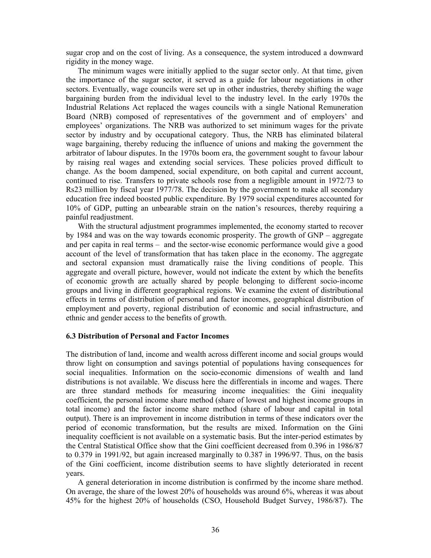sugar crop and on the cost of living. As a consequence, the system introduced a downward rigidity in the money wage.

 The minimum wages were initially applied to the sugar sector only. At that time, given the importance of the sugar sector, it served as a guide for labour negotiations in other sectors. Eventually, wage councils were set up in other industries, thereby shifting the wage bargaining burden from the individual level to the industry level. In the early 1970s the Industrial Relations Act replaced the wages councils with a single National Remuneration Board (NRB) composed of representatives of the government and of employers' and employees' organizations. The NRB was authorized to set minimum wages for the private sector by industry and by occupational category. Thus, the NRB has eliminated bilateral wage bargaining, thereby reducing the influence of unions and making the government the arbitrator of labour disputes. In the 1970s boom era, the government sought to favour labour by raising real wages and extending social services. These policies proved difficult to change. As the boom dampened, social expenditure, on both capital and current account, continued to rise. Transfers to private schools rose from a negligible amount in 1972/73 to Rs23 million by fiscal year 1977/78. The decision by the government to make all secondary education free indeed boosted public expenditure. By 1979 social expenditures accounted for 10% of GDP, putting an unbearable strain on the nation's resources, thereby requiring a painful readjustment.

 With the structural adjustment programmes implemented, the economy started to recover by 1984 and was on the way towards economic prosperity. The growth of GNP – aggregate and per capita in real terms – and the sector-wise economic performance would give a good account of the level of transformation that has taken place in the economy. The aggregate and sectoral expansion must dramatically raise the living conditions of people. This aggregate and overall picture, however, would not indicate the extent by which the benefits of economic growth are actually shared by people belonging to different socio-income groups and living in different geographical regions. We examine the extent of distributional effects in terms of distribution of personal and factor incomes, geographical distribution of employment and poverty, regional distribution of economic and social infrastructure, and ethnic and gender access to the benefits of growth.

#### **6.3 Distribution of Personal and Factor Incomes**

The distribution of land, income and wealth across different income and social groups would throw light on consumption and savings potential of populations having consequences for social inequalities. Information on the socio-economic dimensions of wealth and land distributions is not available. We discuss here the differentials in income and wages. There are three standard methods for measuring income inequalities: the Gini inequality coefficient, the personal income share method (share of lowest and highest income groups in total income) and the factor income share method (share of labour and capital in total output). There is an improvement in income distribution in terms of these indicators over the period of economic transformation, but the results are mixed. Information on the Gini inequality coefficient is not available on a systematic basis. But the inter-period estimates by the Central Statistical Office show that the Gini coefficient decreased from 0.396 in 1986/87 to 0.379 in 1991/92, but again increased marginally to 0.387 in 1996/97. Thus, on the basis of the Gini coefficient, income distribution seems to have slightly deteriorated in recent years.

 A general deterioration in income distribution is confirmed by the income share method. On average, the share of the lowest 20% of households was around 6%, whereas it was about 45% for the highest 20% of households (CSO, Household Budget Survey, 1986/87). The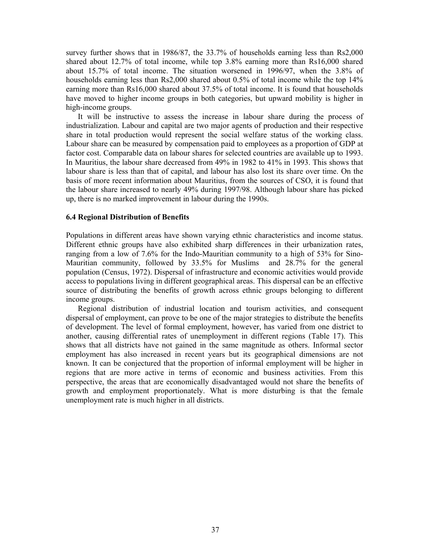survey further shows that in 1986/87, the 33.7% of households earning less than Rs2,000 shared about 12.7% of total income, while top 3.8% earning more than Rs16,000 shared about 15.7% of total income. The situation worsened in 1996/97, when the 3.8% of households earning less than Rs2,000 shared about 0.5% of total income while the top 14% earning more than Rs16,000 shared about 37.5% of total income. It is found that households have moved to higher income groups in both categories, but upward mobility is higher in high-income groups.

 It will be instructive to assess the increase in labour share during the process of industrialization. Labour and capital are two major agents of production and their respective share in total production would represent the social welfare status of the working class. Labour share can be measured by compensation paid to employees as a proportion of GDP at factor cost. Comparable data on labour shares for selected countries are available up to 1993. In Mauritius, the labour share decreased from 49% in 1982 to 41% in 1993. This shows that labour share is less than that of capital, and labour has also lost its share over time. On the basis of more recent information about Mauritius, from the sources of CSO, it is found that the labour share increased to nearly 49% during 1997/98. Although labour share has picked up, there is no marked improvement in labour during the 1990s.

## **6.4 Regional Distribution of Benefits**

Populations in different areas have shown varying ethnic characteristics and income status. Different ethnic groups have also exhibited sharp differences in their urbanization rates, ranging from a low of 7.6% for the Indo-Mauritian community to a high of 53% for Sino-Mauritian community, followed by 33.5% for Muslims and 28.7% for the general population (Census, 1972). Dispersal of infrastructure and economic activities would provide access to populations living in different geographical areas. This dispersal can be an effective source of distributing the benefits of growth across ethnic groups belonging to different income groups.

 Regional distribution of industrial location and tourism activities, and consequent dispersal of employment, can prove to be one of the major strategies to distribute the benefits of development. The level of formal employment, however, has varied from one district to another, causing differential rates of unemployment in different regions (Table 17). This shows that all districts have not gained in the same magnitude as others. Informal sector employment has also increased in recent years but its geographical dimensions are not known. It can be conjectured that the proportion of informal employment will be higher in regions that are more active in terms of economic and business activities. From this perspective, the areas that are economically disadvantaged would not share the benefits of growth and employment proportionately. What is more disturbing is that the female unemployment rate is much higher in all districts.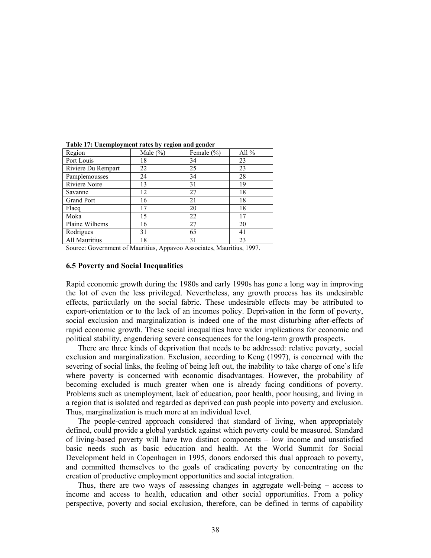| Region             | Male $(\% )$ | Female $(\% )$ | All $%$ |
|--------------------|--------------|----------------|---------|
| Port Louis         | 18           | 34             | 23      |
| Riviere Du Rempart | 22           | 25             | 23      |
| Pamplemousses      | 24           | 34             | 28      |
| Riviere Noire      | 13           | 31             | 19      |
| Savanne            | 12           | 27             | 18      |
| Grand Port         | 16           | 21             | 18      |
| Flacq              | 17           | 20             | 18      |
| Moka               | 15           | 22             | 17      |
| Plaine Wilhems     | 16           | 27             | 20      |
| Rodrigues          | 31           | 65             | 41      |
| All Mauritius      | 18           | 31             | 23      |

**Table 17: Unemployment rates by region and gender** 

Source: Government of Mauritius, Appavoo Associates, Mauritius, 1997.

#### **6.5 Poverty and Social Inequalities**

Rapid economic growth during the 1980s and early 1990s has gone a long way in improving the lot of even the less privileged. Nevertheless, any growth process has its undesirable effects, particularly on the social fabric. These undesirable effects may be attributed to export-orientation or to the lack of an incomes policy. Deprivation in the form of poverty, social exclusion and marginalization is indeed one of the most disturbing after-effects of rapid economic growth. These social inequalities have wider implications for economic and political stability, engendering severe consequences for the long-term growth prospects.

 There are three kinds of deprivation that needs to be addressed: relative poverty, social exclusion and marginalization. Exclusion, according to Keng (1997), is concerned with the severing of social links, the feeling of being left out, the inability to take charge of one's life where poverty is concerned with economic disadvantages. However, the probability of becoming excluded is much greater when one is already facing conditions of poverty. Problems such as unemployment, lack of education, poor health, poor housing, and living in a region that is isolated and regarded as deprived can push people into poverty and exclusion. Thus, marginalization is much more at an individual level.

 The people-centred approach considered that standard of living, when appropriately defined, could provide a global yardstick against which poverty could be measured. Standard of living-based poverty will have two distinct components – low income and unsatisfied basic needs such as basic education and health. At the World Summit for Social Development held in Copenhagen in 1995, donors endorsed this dual approach to poverty, and committed themselves to the goals of eradicating poverty by concentrating on the creation of productive employment opportunities and social integration.

 Thus, there are two ways of assessing changes in aggregate well-being – access to income and access to health, education and other social opportunities. From a policy perspective, poverty and social exclusion, therefore, can be defined in terms of capability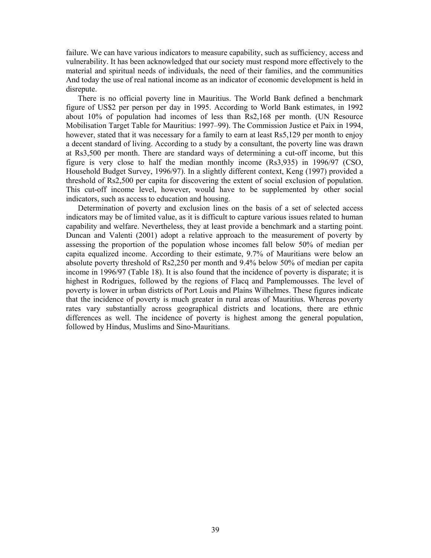failure. We can have various indicators to measure capability, such as sufficiency, access and vulnerability. It has been acknowledged that our society must respond more effectively to the material and spiritual needs of individuals, the need of their families, and the communities And today the use of real national income as an indicator of economic development is held in disrepute.

 There is no official poverty line in Mauritius. The World Bank defined a benchmark figure of US\$2 per person per day in 1995. According to World Bank estimates, in 1992 about 10% of population had incomes of less than Rs2,168 per month. (UN Resource Mobilisation Target Table for Mauritius: 1997–99). The Commission Justice et Paix in 1994, however, stated that it was necessary for a family to earn at least Rs5,129 per month to enjoy a decent standard of living. According to a study by a consultant, the poverty line was drawn at Rs3,500 per month. There are standard ways of determining a cut-off income, but this figure is very close to half the median monthly income (Rs3,935) in 1996/97 (CSO, Household Budget Survey, 1996/97). In a slightly different context, Keng (1997) provided a threshold of Rs2,500 per capita for discovering the extent of social exclusion of population. This cut-off income level, however, would have to be supplemented by other social indicators, such as access to education and housing.

 Determination of poverty and exclusion lines on the basis of a set of selected access indicators may be of limited value, as it is difficult to capture various issues related to human capability and welfare. Nevertheless, they at least provide a benchmark and a starting point. Duncan and Valenti (2001) adopt a relative approach to the measurement of poverty by assessing the proportion of the population whose incomes fall below 50% of median per capita equalized income. According to their estimate, 9.7% of Mauritians were below an absolute poverty threshold of Rs2,250 per month and 9.4% below 50% of median per capita income in 1996/97 (Table 18). It is also found that the incidence of poverty is disparate; it is highest in Rodrigues, followed by the regions of Flacq and Pamplemousses. The level of poverty is lower in urban districts of Port Louis and Plains Wilhelmes. These figures indicate that the incidence of poverty is much greater in rural areas of Mauritius. Whereas poverty rates vary substantially across geographical districts and locations, there are ethnic differences as well. The incidence of poverty is highest among the general population, followed by Hindus, Muslims and Sino-Mauritians.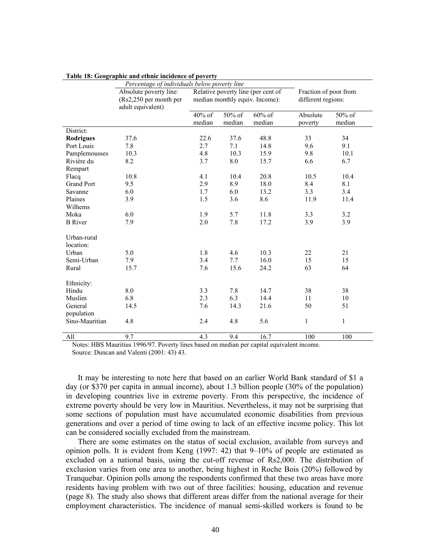|                       | Percentage of individuals below poverty line                          |                  |                                                                      |                     |                     |                                             |  |
|-----------------------|-----------------------------------------------------------------------|------------------|----------------------------------------------------------------------|---------------------|---------------------|---------------------------------------------|--|
|                       | Absolute poverty line:<br>(Rs2,250 per month per<br>adult equivalent) |                  | Relative poverty line (per cent of<br>median monthly equiv. Income): |                     |                     | Fraction of poor from<br>different regions: |  |
|                       |                                                                       | 40% of<br>median | 50% of<br>median                                                     | $60\%$ of<br>median | Absolute<br>poverty | 50% of<br>median                            |  |
| District:             |                                                                       |                  |                                                                      |                     |                     |                                             |  |
| <b>Rodrigues</b>      | 37.6                                                                  | 22.6             | 37.6                                                                 | 48.8                | 33                  | 34                                          |  |
| Port Louis            | 7.8                                                                   | 2.7              | 7.1                                                                  | 14.8                | 9.6                 | 9.1                                         |  |
| Pamplemousses         | 10.3                                                                  | 4.8              | 10.3                                                                 | 15.9                | 9.8                 | 10.1                                        |  |
| Rivière du<br>Rempart | 8.2                                                                   | 3.7              | 8.0                                                                  | 15.7                | 6.6                 | 6.7                                         |  |
| Flacq                 | 10.8                                                                  | 4.1              | 10.4                                                                 | 20.8                | 10.5                | 10.4                                        |  |
| <b>Grand Port</b>     | 9.5                                                                   | 2.9              | 8.9                                                                  | 18.0                | 8.4                 | 8.1                                         |  |
| Savanne               | 6.0                                                                   | 1.7              | 6.0                                                                  | 13.2                | 3.3                 | 3.4                                         |  |
| Plaines               | 3.9                                                                   | 1.5              | 3.6                                                                  | 8.6                 | 11.9                | 11.4                                        |  |
| Wilhems               |                                                                       |                  |                                                                      |                     |                     |                                             |  |
| Moka                  | 6.0                                                                   | 1.9              | 5.7                                                                  | 11.8                | 3.3                 | 3.2                                         |  |
| <b>B</b> River        | 7.9                                                                   | 2.0              | 7.8                                                                  | 17.2                | 3.9                 | 3.9                                         |  |
| Urban-rural           |                                                                       |                  |                                                                      |                     |                     |                                             |  |
| location:             |                                                                       |                  |                                                                      |                     |                     |                                             |  |
| Urban                 | 5.0                                                                   | 1.8              | 4.6                                                                  | 10.3                | 22                  | 21                                          |  |
| Semi-Urban            | 7.9                                                                   | 3.4              | 7.7                                                                  | 16.0                | 15                  | 15                                          |  |
| Rural                 | 15.7                                                                  | 7.6              | 15.6                                                                 | 24.2                | 63                  | 64                                          |  |
| Ethnicity:            |                                                                       |                  |                                                                      |                     |                     |                                             |  |
| Hindu                 | 8.0                                                                   | 3.3              | 7.8                                                                  | 14.7                | 38                  | 38                                          |  |
| Muslim                | 6.8                                                                   | 2.3              | 6.3                                                                  | 14.4                | 11                  | 10                                          |  |
| General               | 14.5                                                                  | 7.6              | 14.3                                                                 | 21.6                | 50                  | 51                                          |  |
| population            |                                                                       |                  |                                                                      |                     |                     |                                             |  |
| Sino-Mauritian        | 4.8                                                                   | 2.4              | 4.8                                                                  | 5.6                 | $\mathbf{1}$        | $\mathbf{1}$                                |  |
| All                   | $\overline{9.7}$                                                      | $\overline{4.3}$ | 9.4                                                                  | 16.7                | 100                 | 100                                         |  |

#### **Table 18: Geographic and ethnic incidence of poverty**

Notes: HBS Mauritius 1996/97. Poverty lines based on median per capital equivalent income. Source: Duncan and Valenti (2001: 43) 43.

It may be interesting to note here that based on an earlier World Bank standard of \$1 a day (or \$370 per capita in annual income), about 1.3 billion people (30% of the population) in developing countries live in extreme poverty. From this perspective, the incidence of extreme poverty should be very low in Mauritius. Nevertheless, it may not be surprising that some sections of population must have accumulated economic disabilities from previous generations and over a period of time owing to lack of an effective income policy. This lot can be considered socially excluded from the mainstream.

 There are some estimates on the status of social exclusion, available from surveys and opinion polls. It is evident from Keng (1997: 42) that 9–10% of people are estimated as excluded on a national basis, using the cut-off revenue of Rs2,000. The distribution of exclusion varies from one area to another, being highest in Roche Bois (20%) followed by Tranquebar. Opinion polls among the respondents confirmed that these two areas have more residents having problem with two out of three facilities: housing, education and revenue (page 8). The study also shows that different areas differ from the national average for their employment characteristics. The incidence of manual semi-skilled workers is found to be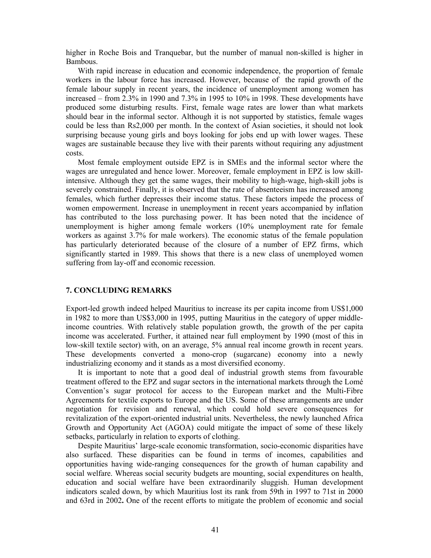higher in Roche Bois and Tranquebar, but the number of manual non-skilled is higher in Bambous.

With rapid increase in education and economic independence, the proportion of female workers in the labour force has increased. However, because of the rapid growth of the female labour supply in recent years, the incidence of unemployment among women has increased – from 2.3% in 1990 and 7.3% in 1995 to 10% in 1998. These developments have produced some disturbing results. First, female wage rates are lower than what markets should bear in the informal sector. Although it is not supported by statistics, female wages could be less than Rs2,000 per month. In the context of Asian societies, it should not look surprising because young girls and boys looking for jobs end up with lower wages. These wages are sustainable because they live with their parents without requiring any adjustment costs.

 Most female employment outside EPZ is in SMEs and the informal sector where the wages are unregulated and hence lower. Moreover, female employment in EPZ is low skillintensive. Although they get the same wages, their mobility to high-wage, high-skill jobs is severely constrained. Finally, it is observed that the rate of absenteeism has increased among females, which further depresses their income status. These factors impede the process of women empowerment. Increase in unemployment in recent years accompanied by inflation has contributed to the loss purchasing power. It has been noted that the incidence of unemployment is higher among female workers (10% unemployment rate for female workers as against 3.7% for male workers). The economic status of the female population has particularly deteriorated because of the closure of a number of EPZ firms, which significantly started in 1989. This shows that there is a new class of unemployed women suffering from lay-off and economic recession.

## **7. CONCLUDING REMARKS**

Export-led growth indeed helped Mauritius to increase its per capita income from US\$1,000 in 1982 to more than US\$3,000 in 1995, putting Mauritius in the category of upper middleincome countries. With relatively stable population growth, the growth of the per capita income was accelerated. Further, it attained near full employment by 1990 (most of this in low-skill textile sector) with, on an average, 5% annual real income growth in recent years. These developments converted a mono-crop (sugarcane) economy into a newly industrializing economy and it stands as a most diversified economy.

 It is important to note that a good deal of industrial growth stems from favourable treatment offered to the EPZ and sugar sectors in the international markets through the Lomé Convention's sugar protocol for access to the European market and the Multi-Fibre Agreements for textile exports to Europe and the US. Some of these arrangements are under negotiation for revision and renewal, which could hold severe consequences for revitalization of the export-oriented industrial units. Nevertheless, the newly launched Africa Growth and Opportunity Act (AGOA) could mitigate the impact of some of these likely setbacks, particularly in relation to exports of clothing.

 Despite Mauritius' large-scale economic transformation, socio-economic disparities have also surfaced. These disparities can be found in terms of incomes, capabilities and opportunities having wide-ranging consequences for the growth of human capability and social welfare. Whereas social security budgets are mounting, social expenditures on health, education and social welfare have been extraordinarily sluggish. Human development indicators scaled down, by which Mauritius lost its rank from 59th in 1997 to 71st in 2000 and 63rd in 2002**.** One of the recent efforts to mitigate the problem of economic and social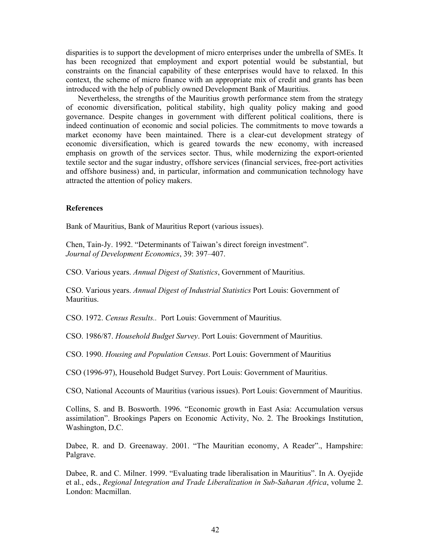disparities is to support the development of micro enterprises under the umbrella of SMEs. It has been recognized that employment and export potential would be substantial, but constraints on the financial capability of these enterprises would have to relaxed. In this context, the scheme of micro finance with an appropriate mix of credit and grants has been introduced with the help of publicly owned Development Bank of Mauritius.

 Nevertheless, the strengths of the Mauritius growth performance stem from the strategy of economic diversification, political stability, high quality policy making and good governance. Despite changes in government with different political coalitions, there is indeed continuation of economic and social policies. The commitments to move towards a market economy have been maintained. There is a clear-cut development strategy of economic diversification, which is geared towards the new economy, with increased emphasis on growth of the services sector. Thus, while modernizing the export-oriented textile sector and the sugar industry, offshore services (financial services, free-port activities and offshore business) and, in particular, information and communication technology have attracted the attention of policy makers.

#### **References**

Bank of Mauritius, Bank of Mauritius Report (various issues).

Chen, Tain-Jy. 1992. "Determinants of Taiwan's direct foreign investment". *Journal of Development Economics*, 39: 397–407.

CSO. Various years. *Annual Digest of Statistics*, Government of Mauritius.

CSO. Various years. *Annual Digest of Industrial Statistics* Port Louis: Government of Mauritius.

CSO. 1972. *Census Results..* Port Louis: Government of Mauritius.

CSO. 1986/87. *Household Budget Survey*. Port Louis: Government of Mauritius.

CSO. 1990. *Housing and Population Census*. Port Louis: Government of Mauritius

CSO (1996-97), Household Budget Survey. Port Louis: Government of Mauritius.

CSO, National Accounts of Mauritius (various issues). Port Louis: Government of Mauritius.

Collins, S. and B. Bosworth. 1996. "Economic growth in East Asia: Accumulation versus assimilation". Brookings Papers on Economic Activity, No. 2. The Brookings Institution, Washington, D.C.

Dabee, R. and D. Greenaway. 2001. "The Mauritian economy, A Reader"., Hampshire: Palgrave.

Dabee, R. and C. Milner. 1999. "Evaluating trade liberalisation in Mauritius". In A. Oyejide et al., eds., *Regional Integration and Trade Liberalization in Sub-Saharan Africa*, volume 2. London: Macmillan.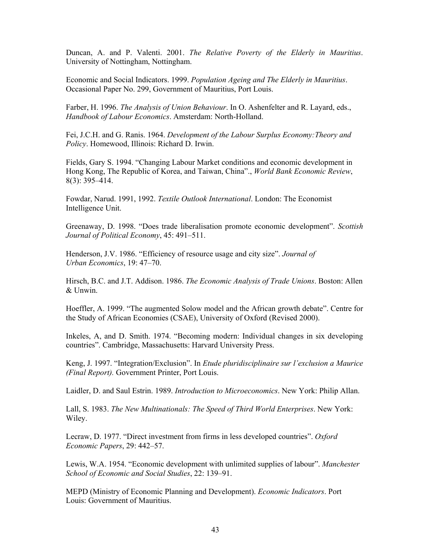Duncan, A. and P. Valenti. 2001. *The Relative Poverty of the Elderly in Mauritius*. University of Nottingham, Nottingham.

Economic and Social Indicators. 1999. *Population Ageing and The Elderly in Mauritius*. Occasional Paper No. 299, Government of Mauritius, Port Louis.

Farber, H. 1996. *The Analysis of Union Behaviour*. In O. Ashenfelter and R. Layard, eds., *Handbook of Labour Economics*. Amsterdam: North-Holland.

Fei, J.C.H. and G. Ranis. 1964. *Development of the Labour Surplus Economy:Theory and Policy*. Homewood, Illinois: Richard D. Irwin.

Fields, Gary S. 1994. "Changing Labour Market conditions and economic development in Hong Kong, The Republic of Korea, and Taiwan, China"., *World Bank Economic Review*, 8(3): 395–414.

Fowdar, Narud. 1991, 1992. *Textile Outlook International*. London: The Economist Intelligence Unit.

Greenaway, D. 1998. "Does trade liberalisation promote economic development". *Scottish Journal of Political Economy*, 45: 491–511.

Henderson, J.V. 1986. "Efficiency of resource usage and city size". *Journal of Urban Economics*, 19: 47–70.

Hirsch, B.C. and J.T. Addison. 1986. *The Economic Analysis of Trade Unions*. Boston: Allen & Unwin.

Hoeffler, A. 1999. "The augmented Solow model and the African growth debate". Centre for the Study of African Economies (CSAE), University of Oxford (Revised 2000).

Inkeles, A, and D. Smith. 1974. "Becoming modern: Individual changes in six developing countries". Cambridge, Massachusetts: Harvard University Press.

Keng, J. 1997. "Integration/Exclusion". In *Etude pluridisciplinaire sur l'exclusion a Maurice (Final Report).* Government Printer, Port Louis.

Laidler, D. and Saul Estrin. 1989. *Introduction to Microeconomics*. New York: Philip Allan.

Lall, S. 1983. *The New Multinationals: The Speed of Third World Enterprises*. New York: Wiley.

Lecraw, D. 1977. "Direct investment from firms in less developed countries". *Oxford Economic Papers*, 29: 442–57.

Lewis, W.A. 1954. "Economic development with unlimited supplies of labour". *Manchester School of Economic and Social Studies*, 22: 139–91.

MEPD (Ministry of Economic Planning and Development). *Economic Indicators*. Port Louis: Government of Mauritius.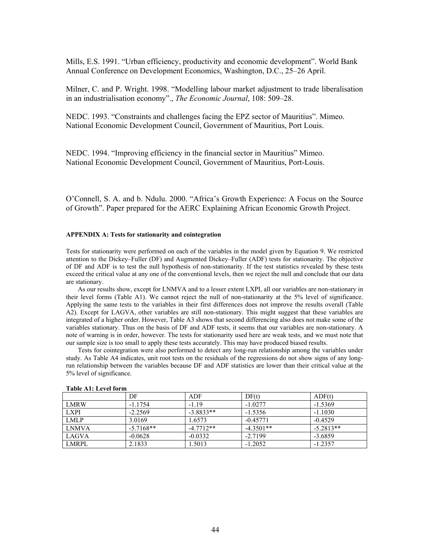Mills, E.S. 1991. "Urban efficiency, productivity and economic development". World Bank Annual Conference on Development Economics, Washington, D.C., 25–26 April.

Milner, C. and P. Wright. 1998. "Modelling labour market adjustment to trade liberalisation in an industrialisation economy"., *The Economic Journal*, 108: 509–28.

NEDC. 1993. "Constraints and challenges facing the EPZ sector of Mauritius". Mimeo. National Economic Development Council, Government of Mauritius, Port Louis.

NEDC. 1994. "Improving efficiency in the financial sector in Mauritius" Mimeo. National Economic Development Council, Government of Mauritius, Port-Louis.

O'Connell, S. A. and b. Ndulu. 2000. "Africa's Growth Experience: A Focus on the Source of Growth". Paper prepared for the AERC Explaining African Economic Growth Project.

#### **APPENDIX A: Tests for stationarity and cointegration**

Tests for stationarity were performed on each of the variables in the model given by Equation 9. We restricted attention to the Dickey–Fuller (DF) and Augmented Dickey–Fuller (ADF) tests for stationarity. The objective of DF and ADF is to test the null hypothesis of non-stationarity. If the test statistics revealed by these tests exceed the critical value at any one of the conventional levels, then we reject the null and conclude that our data are stationary.

 As our results show, except for LNMVA and to a lesser extent LXPI, all our variables are non-stationary in their level forms (Table A1). We cannot reject the null of non-stationarity at the 5% level of significance. Applying the same tests to the variables in their first differences does not improve the results overall (Table A2). Except for LAGVA, other variables are still non-stationary. This might suggest that these variables are integrated of a higher order. However, Table A3 shows that second differencing also does not make some of the variables stationary. Thus on the basis of DF and ADF tests, it seems that our variables are non-stationary. A note of warning is in order, however. The tests for stationarity used here are weak tests, and we must note that our sample size is too small to apply these tests accurately. This may have produced biased results.

 Tests for cointegration were also performed to detect any long-run relationship among the variables under study. As Table A4 indicates, unit root tests on the residuals of the regressions do not show signs of any longrun relationship between the variables because DF and ADF statistics are lower than their critical value at the 5% level of significance.

|              | DF          | ADF         | DF(t)       | ADF(t)      |
|--------------|-------------|-------------|-------------|-------------|
| LMRW         | $-1.1754$   | $-119$      | $-1.0277$   | $-1.5369$   |
| <b>LXPI</b>  | $-2.2569$   | $-3.8833**$ | $-1.5356$   | $-1.1030$   |
| <b>LMLP</b>  | 3.0169      | 1.6573      | $-0.45771$  | $-0.4529$   |
| <b>LNMVA</b> | $-5.7168**$ | $-4.7712**$ | $-4.3501**$ | $-5.2813**$ |
| LAGVA        | $-0.0628$   | $-0.0332$   | $-2.7199$   | $-3.6859$   |
| LMRPL        | 2.1833      | 1.5013      | $-1.2052$   | $-1.2357$   |

#### **Table A1: Level form**